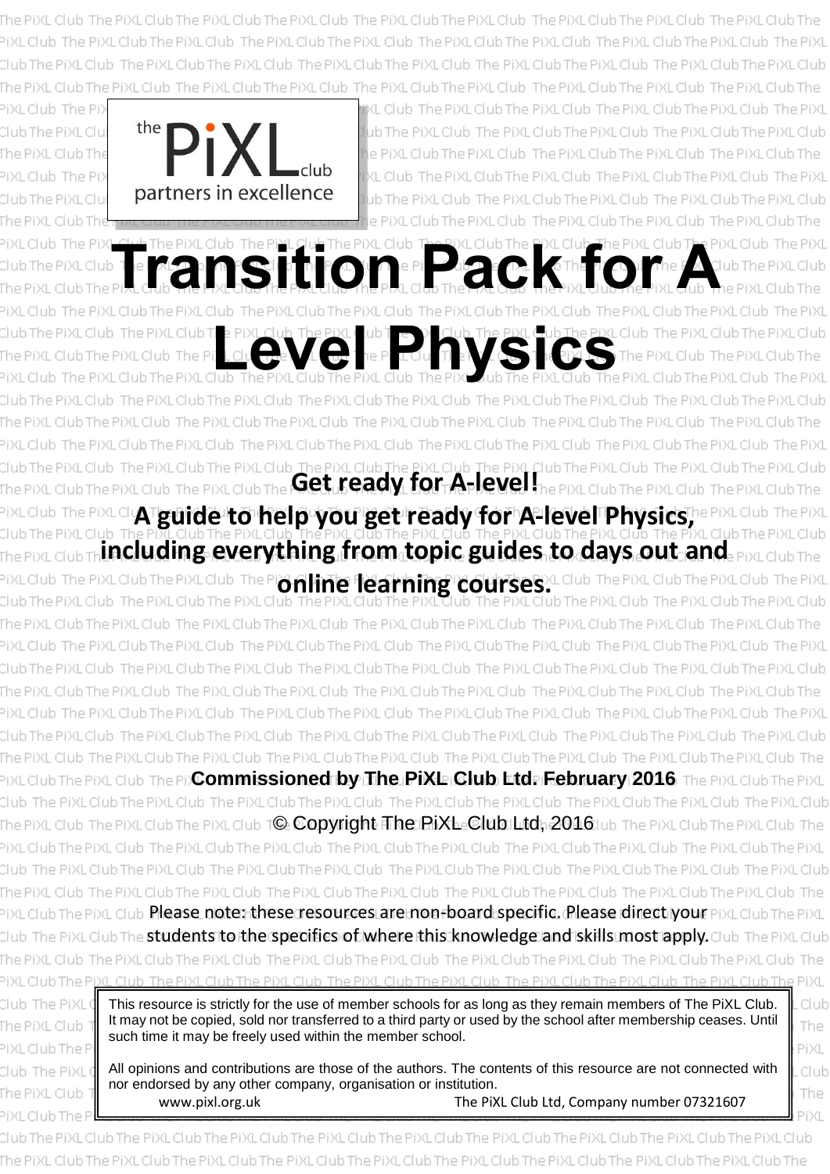PiXLClub The PiXLClub The PiXLClub



**The PIXL Club The PixL Club The PIXL Club The PIXL Club The PIXL Club The PIXL Club The PIXL Club The PIXL Club<br>PIXL CLub CLE LATER FOR THE PIXL CLE THE CLUB THE TION OF PIXL Club The PIXL Club The PIXL Club The PIXL Club** The PiXL Club The PiXL **Level Consumer Property Consumer Property Consumer Property Consumer Property Consumer Property Consumer Property Consumer Property Consumer Property Consumer Property Consumer Property Consumer Property Consumer Property Mediation of the Get ready for A-level! A guide to help you get ready for A-level Physics, including everything from topic guides to days out and**  The PiXL Club The PiXL Club The P **online learning courses.** Club The PiXL Club The PiXL ib The PiXL Club The PiXL Club The PiXL Club The PiXI Club The PixLClub The PixL Club The PiXL Club The PiXL Club The PiXL Club The PiXL Club The PiXL Club The PiXL Club Club The PDCommissioned by The PiXL Club Ltd. February 2016 The PiXL lub The PiXL Club The PiXL Club The PiXL Club The PiXL Club The PiXL Club The PiXL Club The Pi he PiXL Club The PiXL Club T**©. Copyright The PiXL=Glub:|Litd:<sub>|</sub>2016**1ub The PiX Club The PIXL Club The PIXL Club The PIXL Club The PIXL Club Club The PiXL Club The PiXL Club The PiXL Club The PiXL Club The PiXL Club The PiXI. ub Please note: these resources are non-board specific. Please direct your students to the specifics of where this knowledge and skills most apply.This resource is strictly for the use of member schools for as long as they remain members of The PiXL Club. It may not be copied, sold nor transferred to a third party or used by the school after membership ceases. Until The such time it may be freely used within the member school. PiXL Clul

www.pixl.org.uk All opinions and contributions are those of the authors. The contents of this resource are not connected with nor endorsed by any other company, organisation or institution. The PiXL Club Ltd, Company number 07321607

The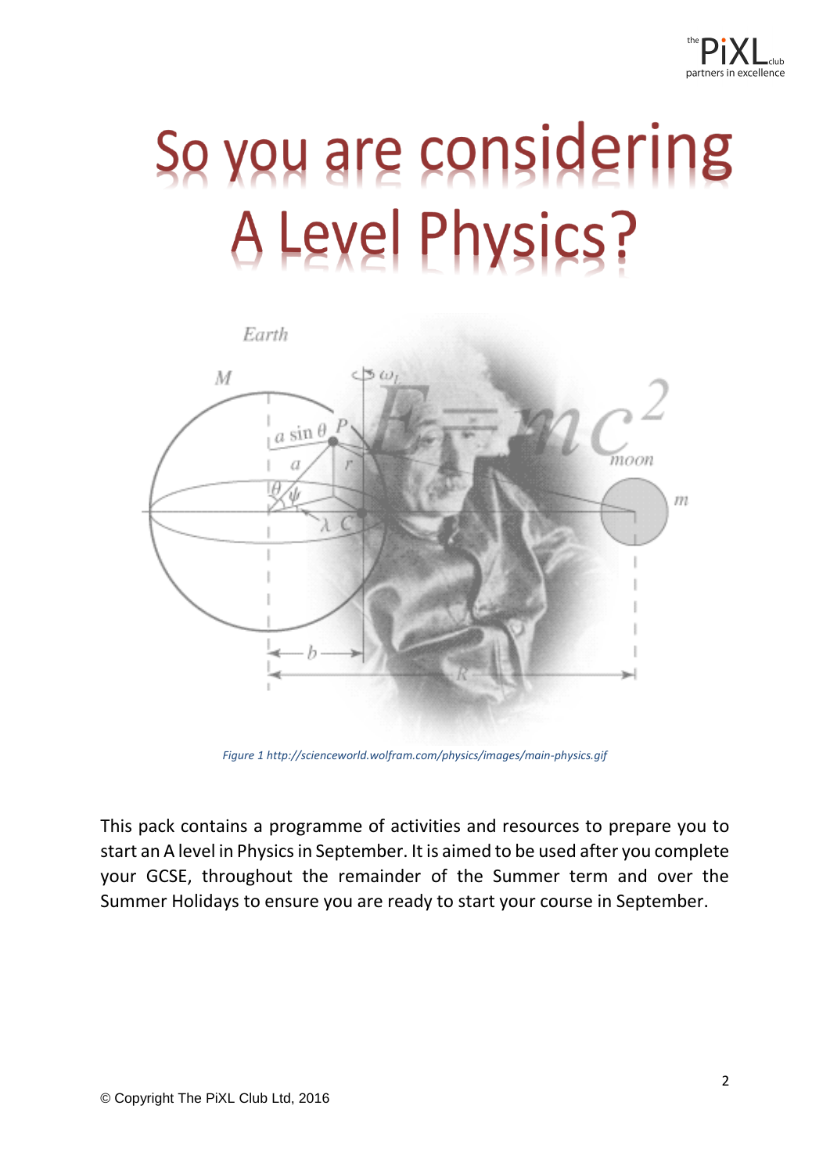## So you are considering A Level Physics?



*Figure 1 http://scienceworld.wolfram.com/physics/images/main-physics.gif*

This pack contains a programme of activities and resources to prepare you to start an A level in Physics in September. It is aimed to be used after you complete your GCSE, throughout the remainder of the Summer term and over the Summer Holidays to ensure you are ready to start your course in September.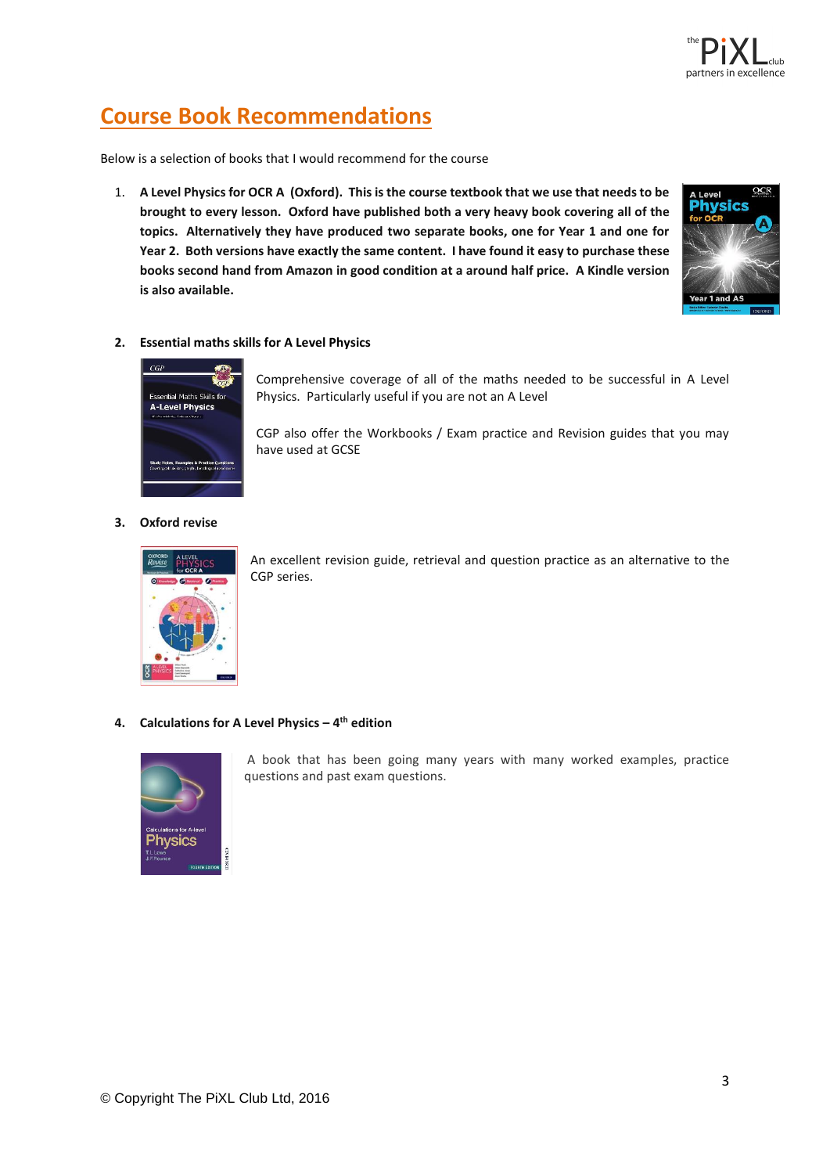![](_page_2_Picture_0.jpeg)

## **Course Book Recommendations**

Below is a selection of books that I would recommend for the course

1. **A Level Physics for OCR A (Oxford). This is the course textbook that we use that needs to be brought to every lesson. Oxford have published both a very heavy book covering all of the topics. Alternatively they have produced two separate books, one for Year 1 and one for Year 2. Both versions have exactly the same content. I have found it easy to purchase these books second hand from Amazon in good condition at a around half price. A Kindle version is also available.**

![](_page_2_Picture_4.jpeg)

#### **2. Essential maths skills for A Level Physics**

![](_page_2_Picture_6.jpeg)

Comprehensive coverage of all of the maths needed to be successful in A Level Physics. Particularly useful if you are not an A Level

CGP also offer the Workbooks / Exam practice and Revision guides that you may have used at GCSE

#### **3. Oxford revise**

![](_page_2_Picture_10.jpeg)

An excellent revision guide, retrieval and question practice as an alternative to the CGP series.

#### **4. Calculations for A Level Physics – 4 th edition**

![](_page_2_Picture_13.jpeg)

A book that has been going many years with many worked examples, practice questions and past exam questions.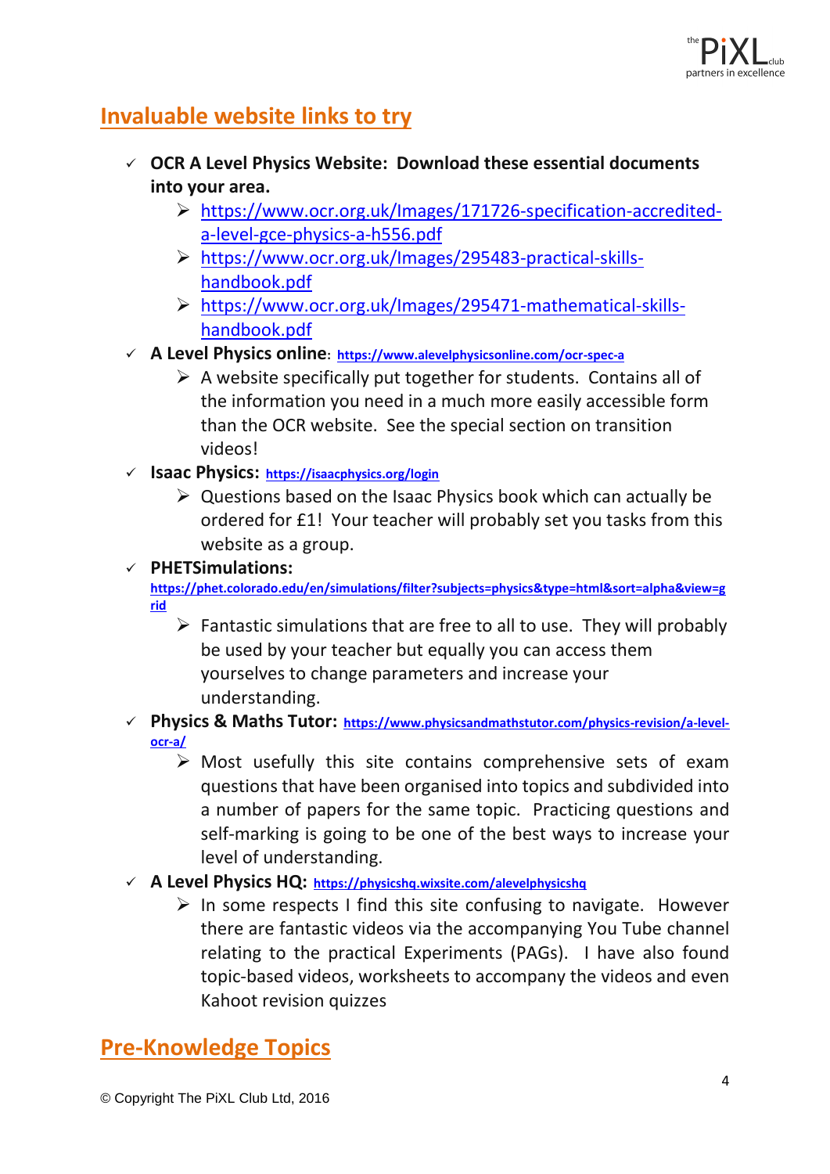![](_page_3_Picture_0.jpeg)

## **Invaluable website links to try**

- ✓ **OCR A Level Physics Website: Download these essential documents into your area.**
	- ➢ [https://www.ocr.org.uk/Images/171726-specification-accredited](https://www.ocr.org.uk/Images/171726-specification-accredited-a-level-gce-physics-a-h556.pdf)[a-level-gce-physics-a-h556.pdf](https://www.ocr.org.uk/Images/171726-specification-accredited-a-level-gce-physics-a-h556.pdf)
	- ➢ [https://www.ocr.org.uk/Images/295483-practical-skills](https://www.ocr.org.uk/Images/295483-practical-skills-handbook.pdf)[handbook.pdf](https://www.ocr.org.uk/Images/295483-practical-skills-handbook.pdf)
	- ➢ [https://www.ocr.org.uk/Images/295471-mathematical-skills](https://www.ocr.org.uk/Images/295471-mathematical-skills-handbook.pdf)[handbook.pdf](https://www.ocr.org.uk/Images/295471-mathematical-skills-handbook.pdf)
- ✓ **A Level Physics online: <https://www.alevelphysicsonline.com/ocr-spec-a>**
	- $\triangleright$  A website specifically put together for students. Contains all of the information you need in a much more easily accessible form than the OCR website. See the special section on transition videos!
- ✓ **Isaac Physics:<https://isaacphysics.org/login>**
	- $\triangleright$  Questions based on the Isaac Physics book which can actually be ordered for £1! Your teacher will probably set you tasks from this website as a group.

✓ **PHETSimulations:** 

**[https://phet.colorado.edu/en/simulations/filter?subjects=physics&type=html&sort=alpha&view=g](https://phet.colorado.edu/en/simulations/filter?subjects=physics&type=html&sort=alpha&view=grid) [rid](https://phet.colorado.edu/en/simulations/filter?subjects=physics&type=html&sort=alpha&view=grid)**

- $\triangleright$  Fantastic simulations that are free to all to use. They will probably be used by your teacher but equally you can access them yourselves to change parameters and increase your understanding.
- ✓ **Physics & Maths Tutor: [https://www.physicsandmathstutor.com/physics-revision/a-level](https://www.physicsandmathstutor.com/physics-revision/a-level-ocr-a/)[ocr-a/](https://www.physicsandmathstutor.com/physics-revision/a-level-ocr-a/)**
	- $\triangleright$  Most usefully this site contains comprehensive sets of exam questions that have been organised into topics and subdivided into a number of papers for the same topic. Practicing questions and self-marking is going to be one of the best ways to increase your level of understanding.
- ✓ **A Level Physics HQ: <https://physicshq.wixsite.com/alevelphysicshq>**
	- $\triangleright$  In some respects I find this site confusing to navigate. However there are fantastic videos via the accompanying You Tube channel relating to the practical Experiments (PAGs). I have also found topic-based videos, worksheets to accompany the videos and even Kahoot revision quizzes

## **Pre-Knowledge Topics**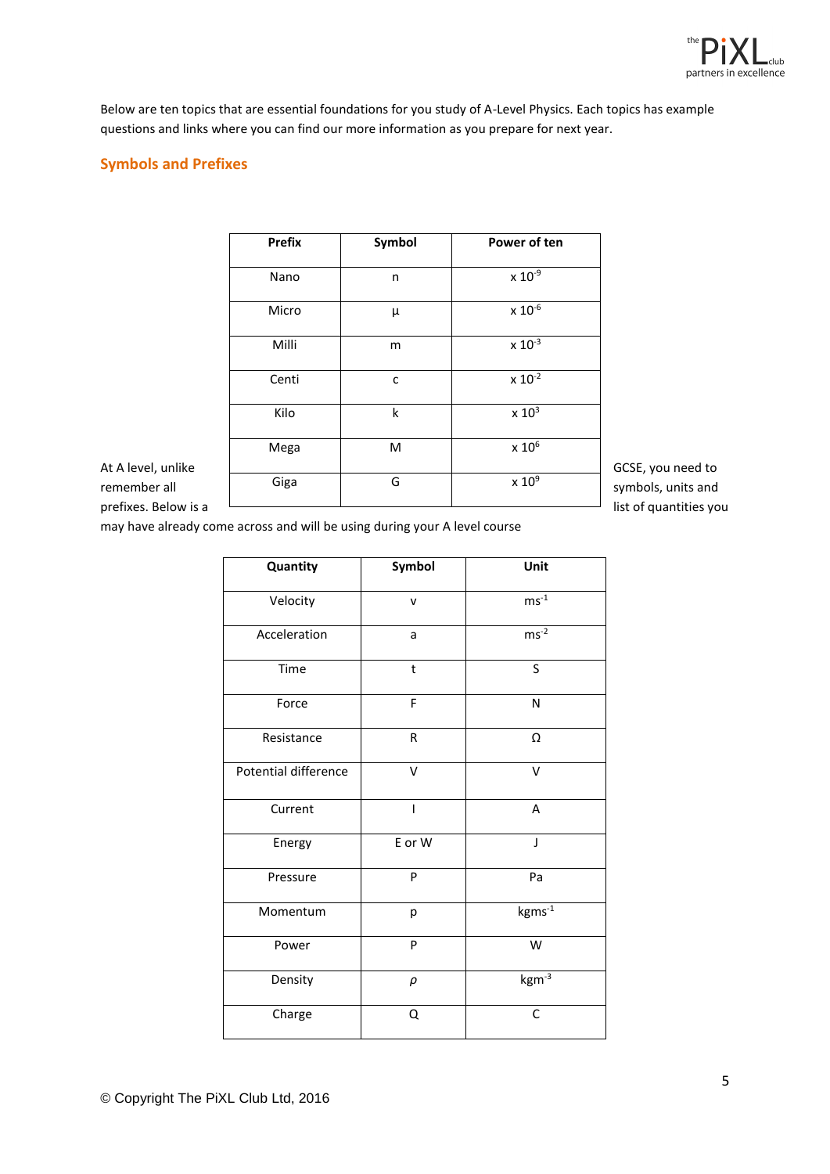![](_page_4_Picture_0.jpeg)

Below are ten topics that are essential foundations for you study of A-Level Physics. Each topics has example questions and links where you can find our more information as you prepare for next year.

#### **Symbols and Prefixes**

|                                    | <b>Prefix</b> | Symbol | Power of ten     |                                         |
|------------------------------------|---------------|--------|------------------|-----------------------------------------|
|                                    | Nano          | n      | $\times 10^{-9}$ |                                         |
|                                    | Micro         | $\mu$  | $x 10^{-6}$      |                                         |
|                                    | Milli         | m      | $x 10^{-3}$      |                                         |
|                                    | Centi         | C      | $x 10^{-2}$      |                                         |
|                                    | Kilo          | k      | $\times 10^3$    |                                         |
|                                    | Mega          | M      | $\times$ 10 $^6$ |                                         |
| At A level, unlike<br>remember all | Giga          | G      | $\times 10^9$    | GCSE, you need to<br>symbols, units and |
| prefixes. Below is a               |               |        |                  | list of quantities you                  |

may have already come across and will be using during your A level course

| Quantity             | Symbol  | Unit       |
|----------------------|---------|------------|
| Velocity             | v       | $ms^{-1}$  |
| Acceleration         | a       | $ms^{-2}$  |
| Time                 | $\sf t$ | S          |
| Force                | F       | N          |
| Resistance           | R       | Ω          |
| Potential difference | V       | V          |
| Current              | ı       | A          |
| Energy               | E or W  | J          |
| Pressure             | P       | Pa         |
| Momentum             | р       | $kgms-1$   |
| Power                | P       | W          |
| Density              | $\rho$  | $kgm^{-3}$ |
| Charge               | Q       | C          |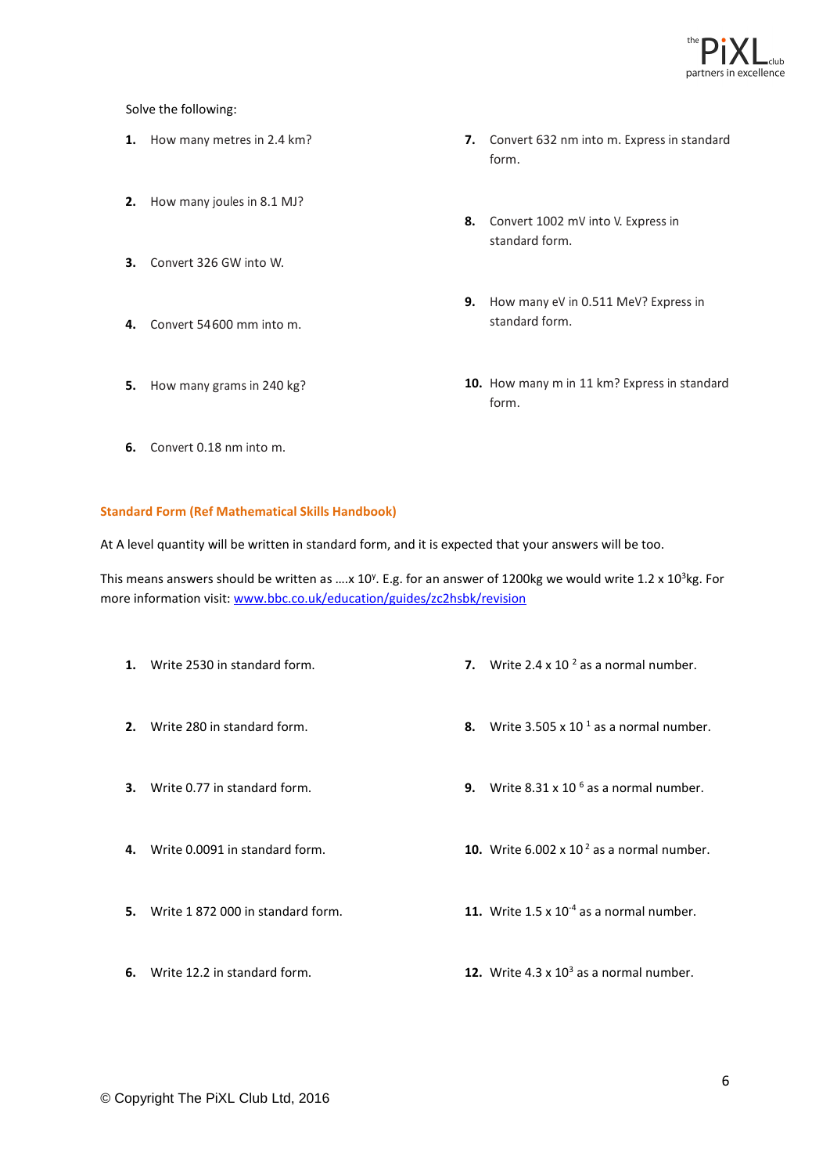![](_page_5_Picture_0.jpeg)

Solve the following:

- **1.** How many metres in 2.4 km?
- **2.** How many joules in 8.1 MJ?
- **3.** Convert 326 GW into W.
- **4.** Convert 54600 mm into m.
- **5.** How many grams in 240 kg?
- **7.** Convert 632 nm into m. Express in standard form.
- **8.** Convert 1002 mV into V. Express in standard form.
- **9.** How many eV in 0.511 MeV? Express in standard form.
- **10.** How many m in 11 km? Express in standard form.

**6.** Convert 0.18 nm into m.

#### **Standard Form (Ref Mathematical Skills Handbook)**

At A level quantity will be written in standard form, and it is expected that your answers will be too.

This means answers should be written as  $...,x$  10<sup>y</sup>. E.g. for an answer of 1200kg we would write 1.2 x 10<sup>3</sup>kg. For more information visit: [www.bbc.co.uk/education/guides/zc2hsbk/revision](http://www.bbc.co.uk/education/guides/zc2hsbk/revision)

**1.** Write 2530 in standard form. **2.** Write 280 in standard form. **3.** Write 0.77 in standard form. **4.** Write 0.0091 in standard form. **5.** Write 1 872 000 in standard form. **6.** Write 12.2 in standard form. **7.** Write  $2.4 \times 10^{-2}$  as a normal number. **8.** Write  $3.505 \times 10^{-1}$  as a normal number. **9.** Write 8.31 x 10 <sup>6</sup> as a normal number. **10.** Write  $6.002 \times 10^2$  as a normal number. **11.** Write  $1.5 \times 10^{-4}$  as a normal number. **12.** Write  $4.3 \times 10^3$  as a normal number.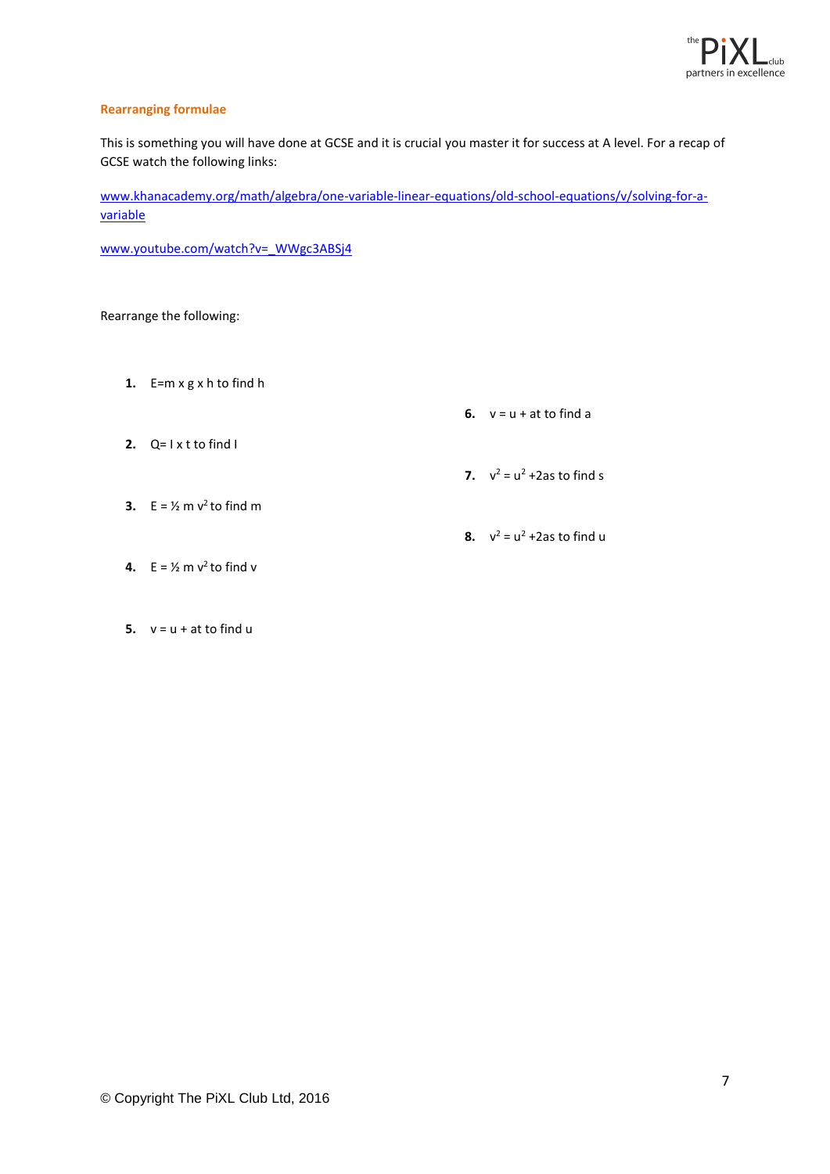![](_page_6_Picture_0.jpeg)

#### **Rearranging formulae**

This is something you will have done at GCSE and it is crucial you master it for success at A level. For a recap of GCSE watch the following links:

[www.khanacademy.org/math/algebra/one-variable-linear-equations/old-school-equations/v/solving-for-a](http://www.khanacademy.org/math/algebra/one-variable-linear-equations/old-school-equations/v/solving-for-a-variable)[variable](http://www.khanacademy.org/math/algebra/one-variable-linear-equations/old-school-equations/v/solving-for-a-variable)

[www.youtube.com/watch?v=\\_WWgc3ABSj4](http://www.youtube.com/watch?v=_WWgc3ABSj4)

#### Rearrange the following:

**1.** E=m x g x h to find h

**6.**  $v = u + at to find a$ 

**2.** Q= I x t to find I

**7.**  $v^2 = u^2 + 2as$  to find s

**3.**  $E = \frac{1}{2}$  m  $v^2$  to find m

**8.**  $v^2 = u^2 + 2as$  to find u

- **4.**  $E = \frac{1}{2}$  m  $v^2$  to find v
- **5.**  $v = u + at to find u$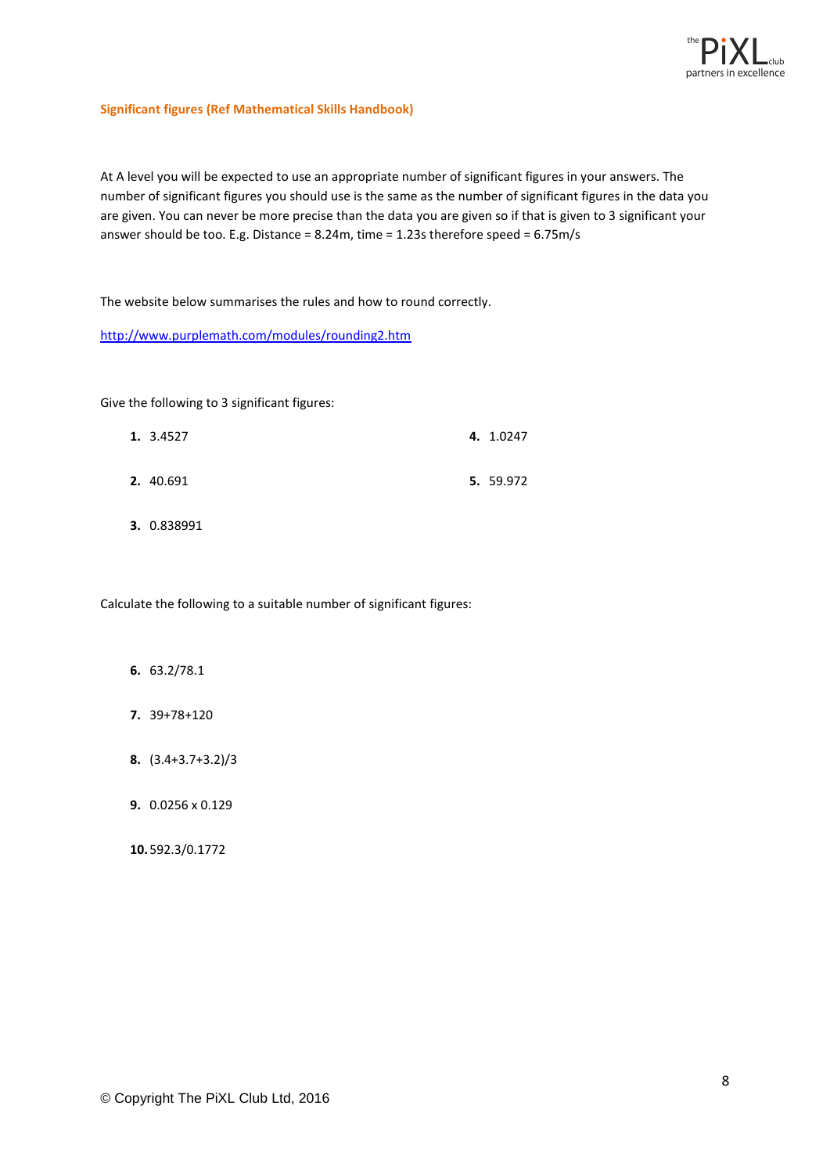![](_page_7_Picture_0.jpeg)

#### **Significant figures (Ref Mathematical Skills Handbook)**

At A level you will be expected to use an appropriate number of significant figures in your answers. The number of significant figures you should use is the same as the number of significant figures in the data you are given. You can never be more precise than the data you are given so if that is given to 3 significant your answer should be too. E.g. Distance = 8.24m, time = 1.23s therefore speed = 6.75m/s

The website below summarises the rules and how to round correctly.

<http://www.purplemath.com/modules/rounding2.htm>

Give the following to 3 significant figures:

| 1. 3.4527 | 4. 1.0247 |
|-----------|-----------|
| 2. 40.691 | 5. 59.972 |

**3.** 0.838991

Calculate the following to a suitable number of significant figures:

- **6.** 63.2/78.1
- **7.** 39+78+120
- **8.** (3.4+3.7+3.2)/3
- **9.** 0.0256 x 0.129

**10.** 592.3/0.1772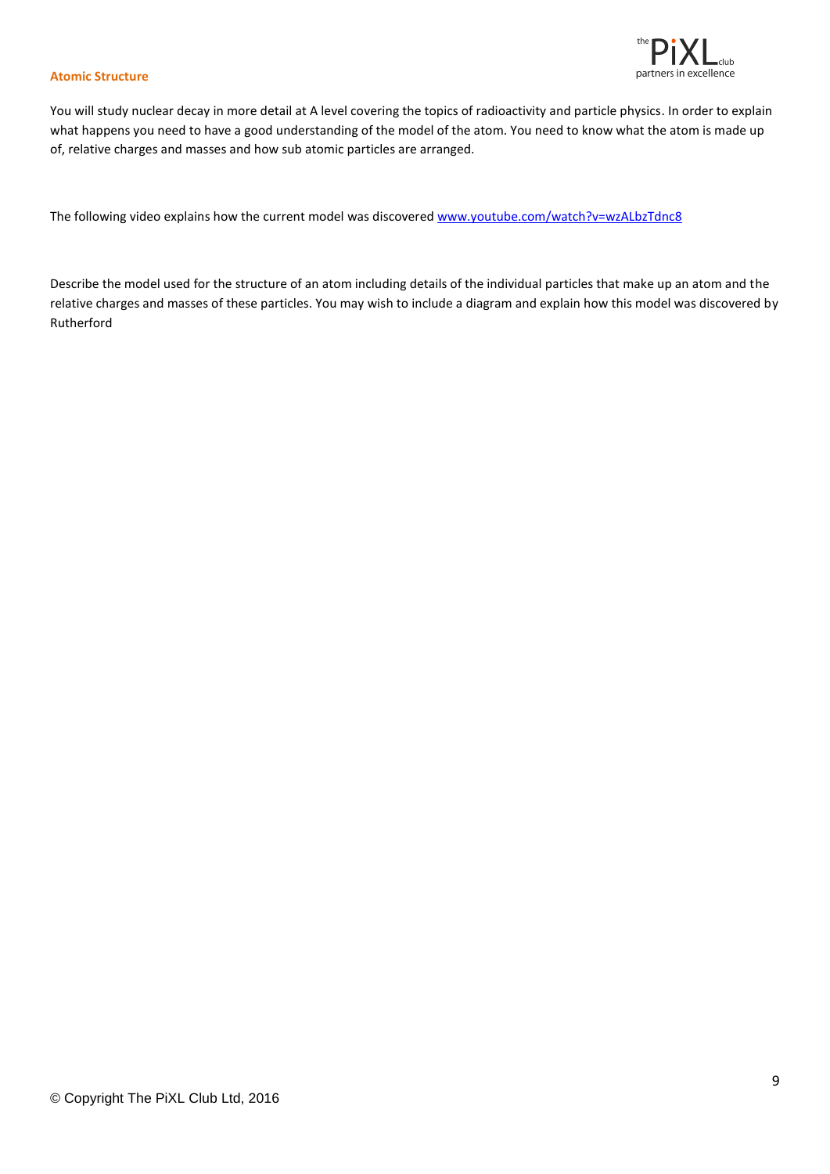![](_page_8_Picture_0.jpeg)

#### **Atomic Structure**

You will study nuclear decay in more detail at A level covering the topics of radioactivity and particle physics. In order to explain what happens you need to have a good understanding of the model of the atom. You need to know what the atom is made up of, relative charges and masses and how sub atomic particles are arranged.

The following video explains how the current model was discovered [www.youtube.com/watch?v=wzALbzTdnc8](http://www.youtube.com/watch?v=wzALbzTdnc8)

Describe the model used for the structure of an atom including details of the individual particles that make up an atom and the relative charges and masses of these particles. You may wish to include a diagram and explain how this model was discovered by Rutherford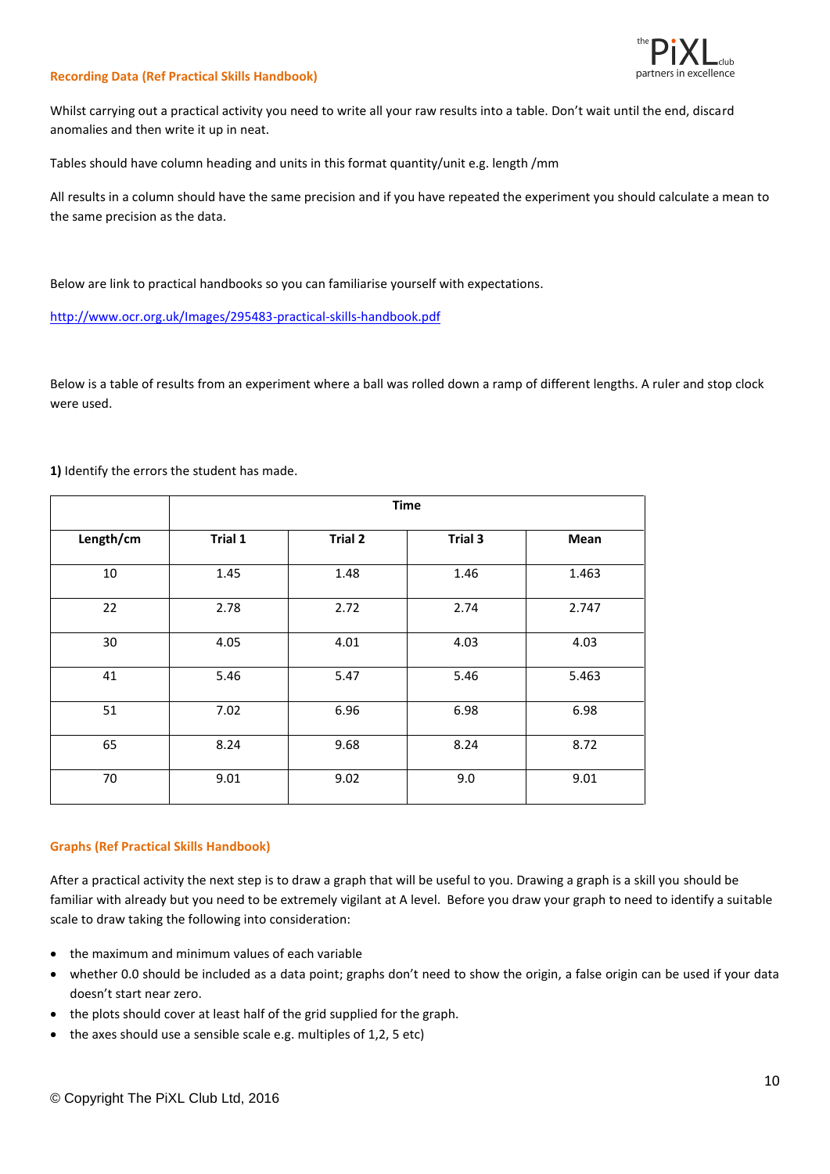![](_page_9_Picture_0.jpeg)

#### **Recording Data (Ref Practical Skills Handbook)**

Whilst carrying out a practical activity you need to write all your raw results into a table. Don't wait until the end, discard anomalies and then write it up in neat.

Tables should have column heading and units in this format quantity/unit e.g. length /mm

All results in a column should have the same precision and if you have repeated the experiment you should calculate a mean to the same precision as the data.

Below are link to practical handbooks so you can familiarise yourself with expectations.

<http://www.ocr.org.uk/Images/295483-practical-skills-handbook.pdf>

Below is a table of results from an experiment where a ball was rolled down a ramp of different lengths. A ruler and stop clock were used.

|           | <b>Time</b> |                |         |       |
|-----------|-------------|----------------|---------|-------|
| Length/cm | Trial 1     | <b>Trial 2</b> | Trial 3 | Mean  |
| 10        | 1.45        | 1.48           | 1.46    | 1.463 |
| 22        | 2.78        | 2.72           | 2.74    | 2.747 |
| 30        | 4.05        | 4.01           | 4.03    | 4.03  |
| 41        | 5.46        | 5.47           | 5.46    | 5.463 |
| 51        | 7.02        | 6.96           | 6.98    | 6.98  |
| 65        | 8.24        | 9.68           | 8.24    | 8.72  |
| 70        | 9.01        | 9.02           | 9.0     | 9.01  |

**1)** Identify the errors the student has made.

#### **Graphs (Ref Practical Skills Handbook)**

After a practical activity the next step is to draw a graph that will be useful to you. Drawing a graph is a skill you should be familiar with already but you need to be extremely vigilant at A level. Before you draw your graph to need to identify a suitable scale to draw taking the following into consideration:

- the maximum and minimum values of each variable
- whether 0.0 should be included as a data point; graphs don't need to show the origin, a false origin can be used if your data doesn't start near zero.
- the plots should cover at least half of the grid supplied for the graph.
- the axes should use a sensible scale e.g. multiples of 1,2, 5 etc)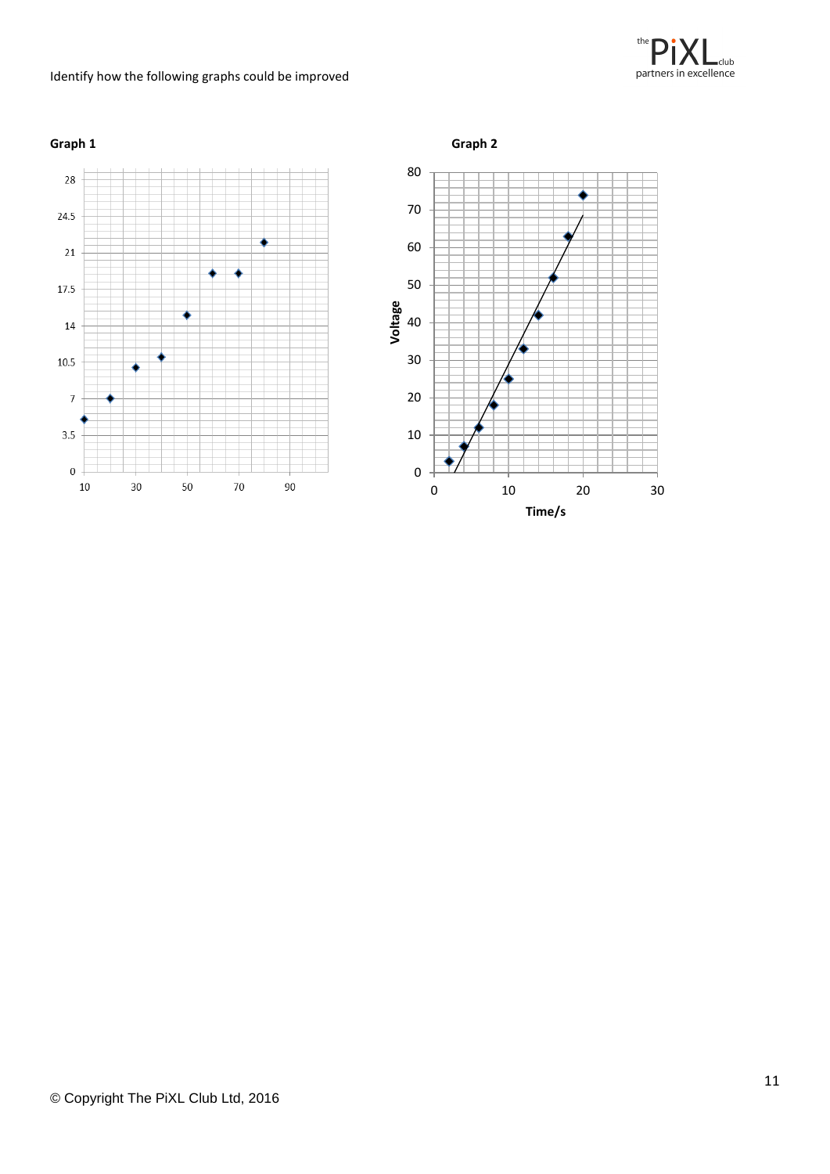#### Identify how the following graphs could be improved

![](_page_10_Picture_1.jpeg)

![](_page_10_Figure_2.jpeg)

![](_page_10_Figure_3.jpeg)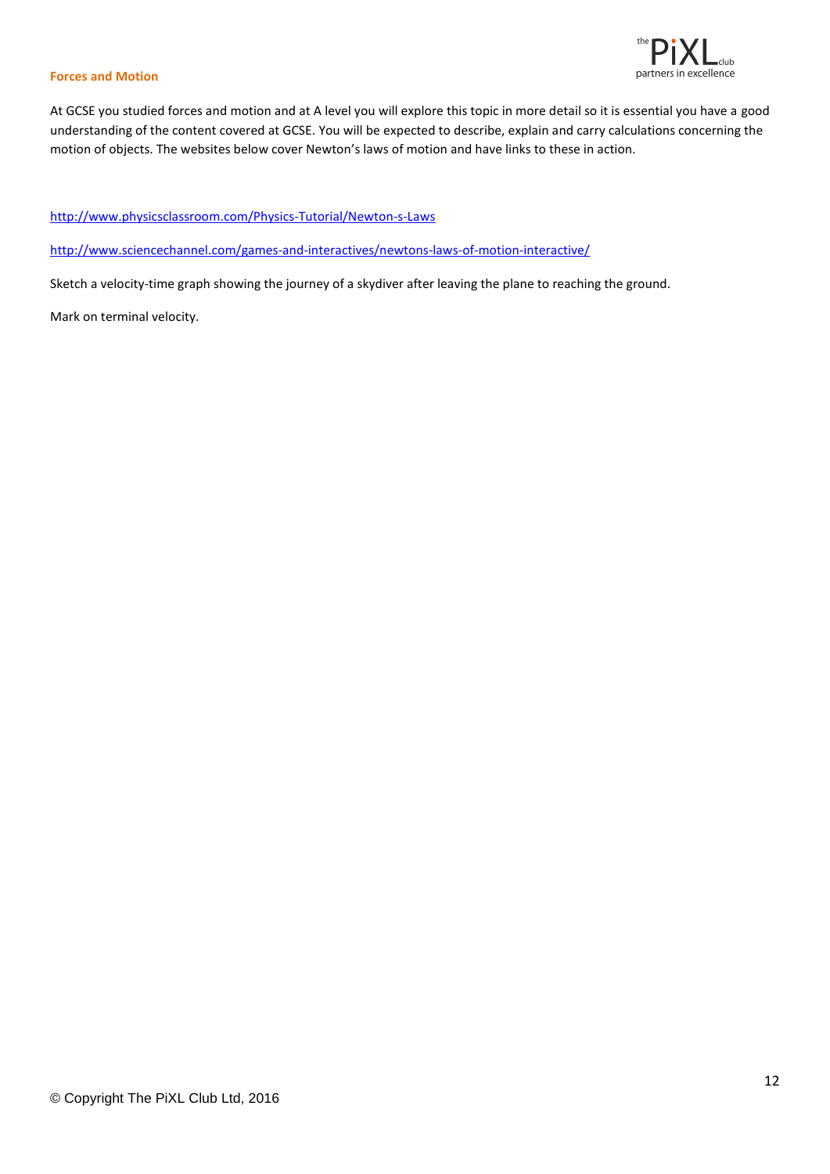![](_page_11_Picture_0.jpeg)

#### **Forces and Motion**

At GCSE you studied forces and motion and at A level you will explore this topic in more detail so it is essential you have a good understanding of the content covered at GCSE. You will be expected to describe, explain and carry calculations concerning the motion of objects. The websites below cover Newton's laws of motion and have links to these in action.

<http://www.physicsclassroom.com/Physics-Tutorial/Newton-s-Laws>

<http://www.sciencechannel.com/games-and-interactives/newtons-laws-of-motion-interactive/>

Sketch a velocity-time graph showing the journey of a skydiver after leaving the plane to reaching the ground.

Mark on terminal velocity.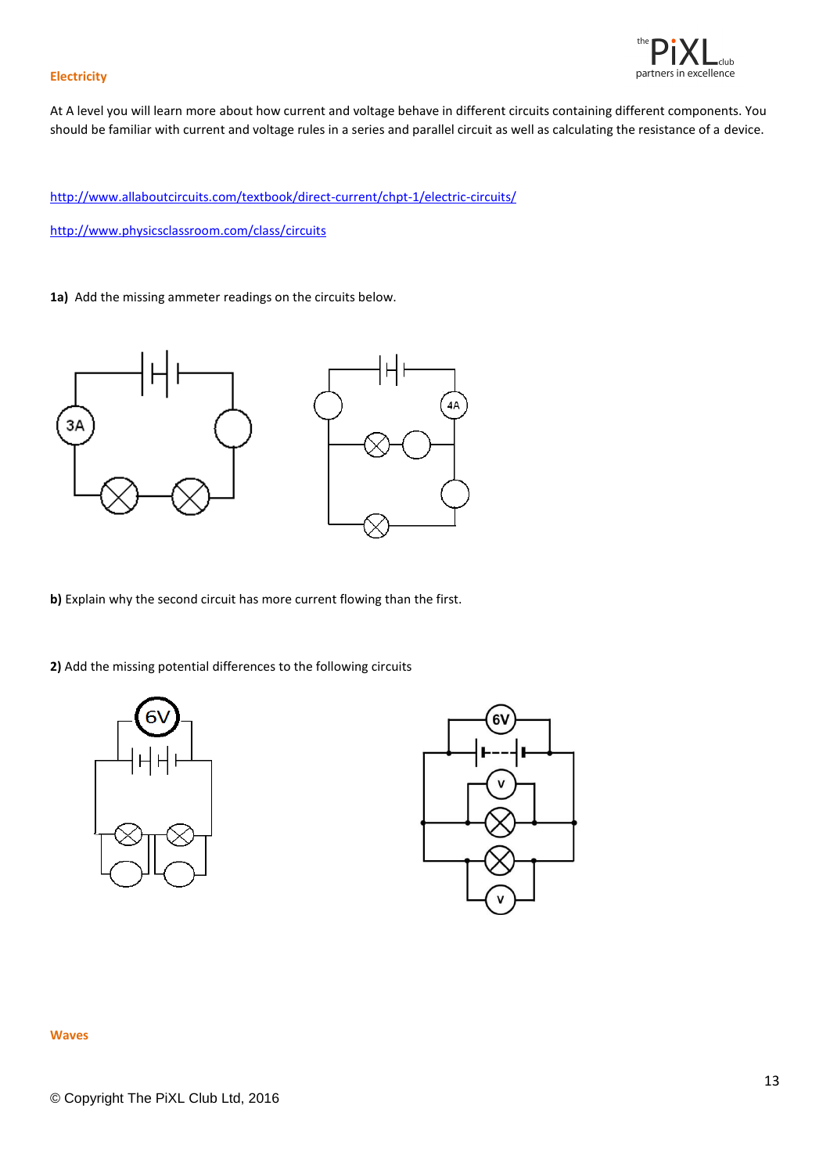![](_page_12_Picture_0.jpeg)

#### **Electricity**

At A level you will learn more about how current and voltage behave in different circuits containing different components. You should be familiar with current and voltage rules in a series and parallel circuit as well as calculating the resistance of a device.

<http://www.allaboutcircuits.com/textbook/direct-current/chpt-1/electric-circuits/>

<http://www.physicsclassroom.com/class/circuits>

**1a)** Add the missing ammeter readings on the circuits below.

![](_page_12_Figure_6.jpeg)

**b)** Explain why the second circuit has more current flowing than the first.

**2)** Add the missing potential differences to the following circuits

![](_page_12_Picture_9.jpeg)

![](_page_12_Picture_10.jpeg)

#### **Waves**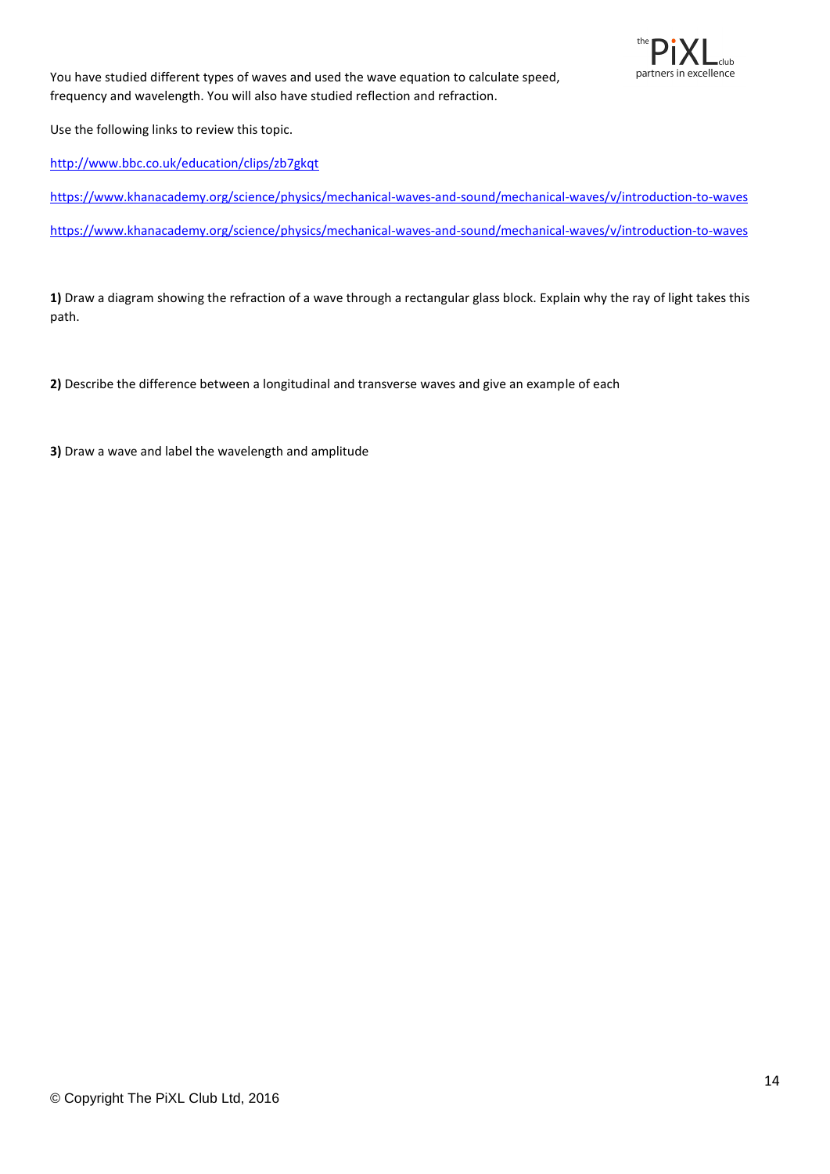![](_page_13_Picture_0.jpeg)

You have studied different types of waves and used the wave equation to calculate speed, frequency and wavelength. You will also have studied reflection and refraction.

Use the following links to review this topic.

<http://www.bbc.co.uk/education/clips/zb7gkqt>

<https://www.khanacademy.org/science/physics/mechanical-waves-and-sound/mechanical-waves/v/introduction-to-waves>

<https://www.khanacademy.org/science/physics/mechanical-waves-and-sound/mechanical-waves/v/introduction-to-waves>

**1)** Draw a diagram showing the refraction of a wave through a rectangular glass block. Explain why the ray of light takes this path.

**2)** Describe the difference between a longitudinal and transverse waves and give an example of each

**3)** Draw a wave and label the wavelength and amplitude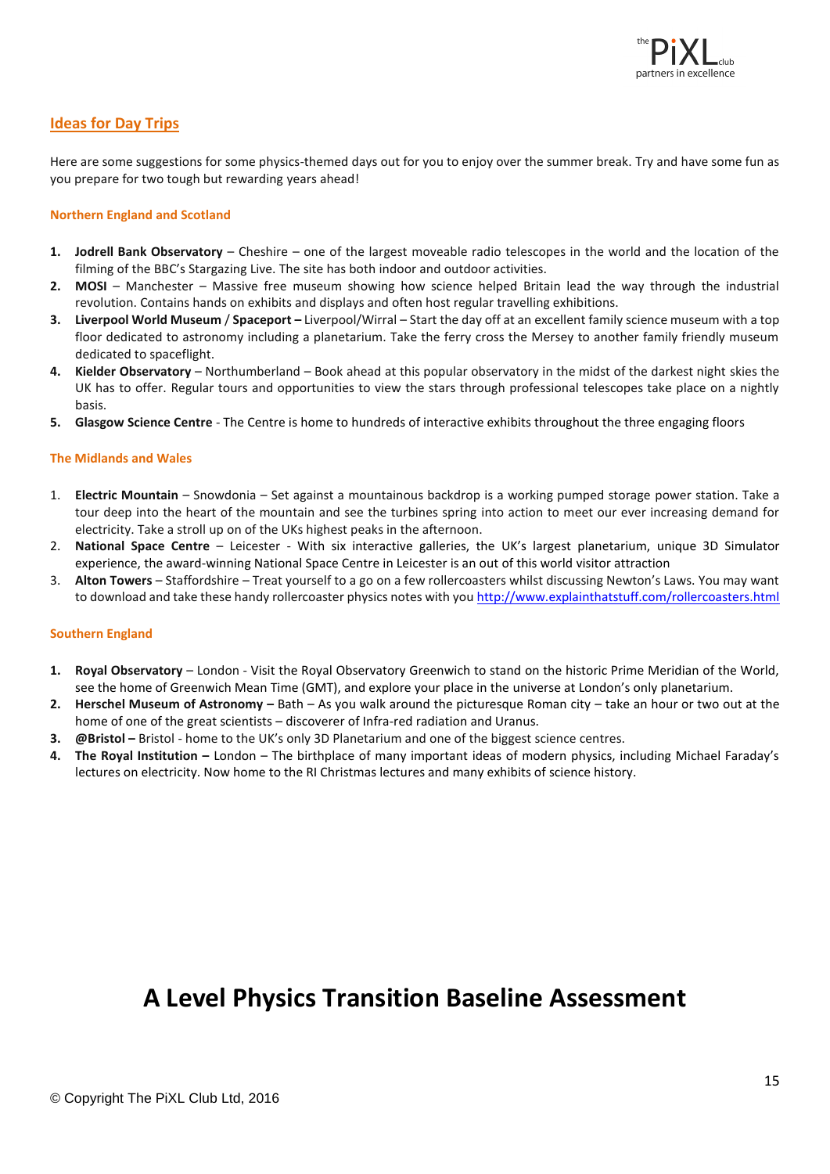![](_page_14_Picture_0.jpeg)

#### **Ideas for Day Trips**

Here are some suggestions for some physics-themed days out for you to enjoy over the summer break. Try and have some fun as you prepare for two tough but rewarding years ahead!

#### **Northern England and Scotland**

- **1. Jodrell Bank Observatory** Cheshire one of the largest moveable radio telescopes in the world and the location of the filming of the BBC's Stargazing Live. The site has both indoor and outdoor activities.
- **2. MOSI** Manchester Massive free museum showing how science helped Britain lead the way through the industrial revolution. Contains hands on exhibits and displays and often host regular travelling exhibitions.
- **3. Liverpool World Museum** / **Spaceport –** Liverpool/Wirral Start the day off at an excellent family science museum with a top floor dedicated to astronomy including a planetarium. Take the ferry cross the Mersey to another family friendly museum dedicated to spaceflight.
- **4. Kielder Observatory** Northumberland Book ahead at this popular observatory in the midst of the darkest night skies the UK has to offer. Regular tours and opportunities to view the stars through professional telescopes take place on a nightly basis.
- **5. Glasgow Science Centre** The Centre is home to hundreds of interactive exhibits throughout the three engaging floors

#### **The Midlands and Wales**

- 1. **Electric Mountain** Snowdonia Set against a mountainous backdrop is a working pumped storage power station. Take a tour deep into the heart of the mountain and see the turbines spring into action to meet our ever increasing demand for electricity. Take a stroll up on of the UKs highest peaks in the afternoon.
- 2. **National Space Centre**  Leicester With six interactive galleries, the UK's largest planetarium, unique 3D Simulator experience, the award-winning National Space Centre in Leicester is an out of this world visitor attraction
- 3. **Alton Towers** Staffordshire Treat yourself to a go on a few rollercoasters whilst discussing Newton's Laws. You may want to download and take these handy rollercoaster physics notes with you<http://www.explainthatstuff.com/rollercoasters.html>

#### **Southern England**

- **1. Royal Observatory** London Visit the Royal Observatory Greenwich to stand on the historic Prime Meridian of the World, see the home of Greenwich Mean Time (GMT), and explore your place in the universe at London's only planetarium.
- **2. Herschel Museum of Astronomy –** Bath As you walk around the picturesque Roman city take an hour or two out at the home of one of the great scientists – discoverer of Infra-red radiation and Uranus.
- **3. @Bristol –** Bristol home to the UK's only 3D Planetarium and one of the biggest science centres.
- **4. The Royal Institution –** London The birthplace of many important ideas of modern physics, including Michael Faraday's lectures on electricity. Now home to the RI Christmas lectures and many exhibits of science history.

## **A Level Physics Transition Baseline Assessment**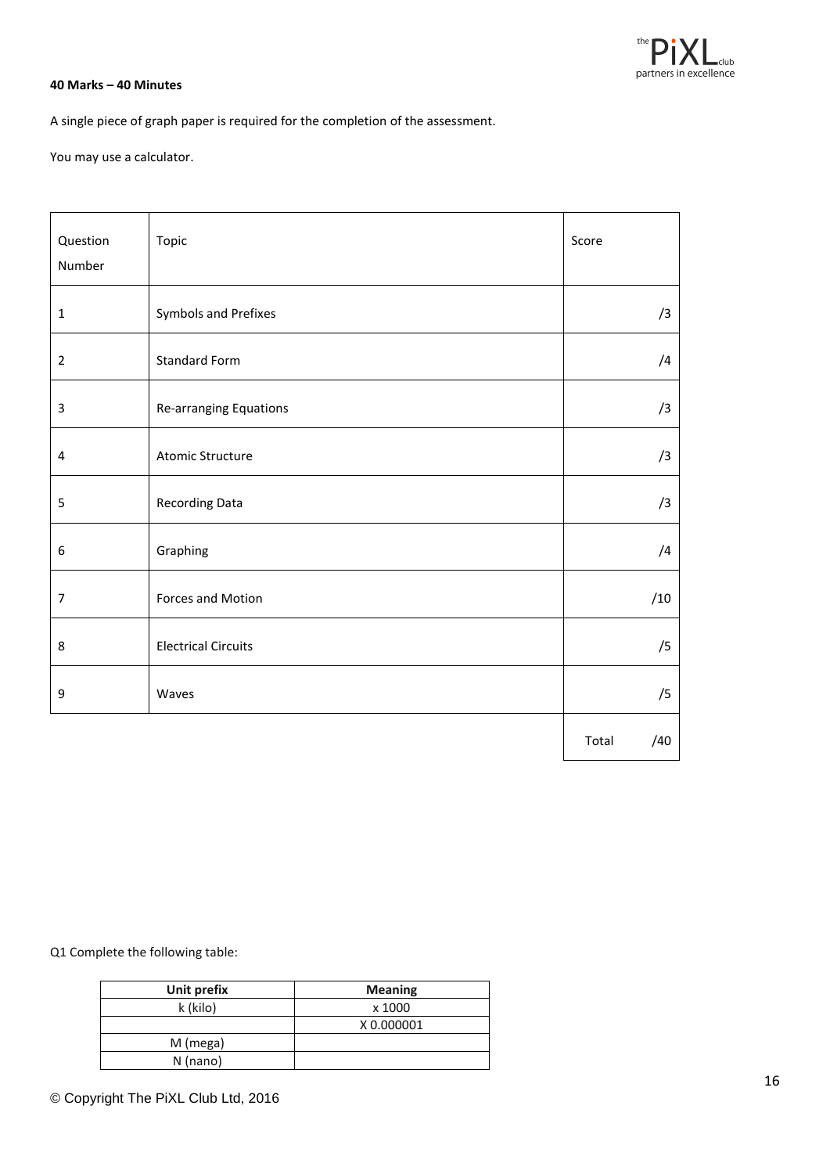![](_page_15_Picture_0.jpeg)

#### **40 Marks – 40 Minutes**

A single piece of graph paper is required for the completion of the assessment.

You may use a calculator.

| Question<br>Number | Topic                      | Score        |
|--------------------|----------------------------|--------------|
|                    |                            |              |
| 1                  | Symbols and Prefixes       | /3           |
| $\overline{2}$     | <b>Standard Form</b>       | /4           |
| 3                  | Re-arranging Equations     | /3           |
| 4                  | <b>Atomic Structure</b>    | /3           |
| 5                  | Recording Data             | /3           |
| 6                  | Graphing                   | /4           |
| $\overline{7}$     | Forces and Motion          | /10          |
| 8                  | <b>Electrical Circuits</b> | /5           |
| 9                  | Waves                      | /5           |
|                    |                            | Total<br>/40 |

Q1 Complete the following table:

| Unit prefix | <b>Meaning</b> |
|-------------|----------------|
| k (kilo)    | x 1000         |
|             | X 0.000001     |
| M (mega)    |                |
| $N$ (nano)  |                |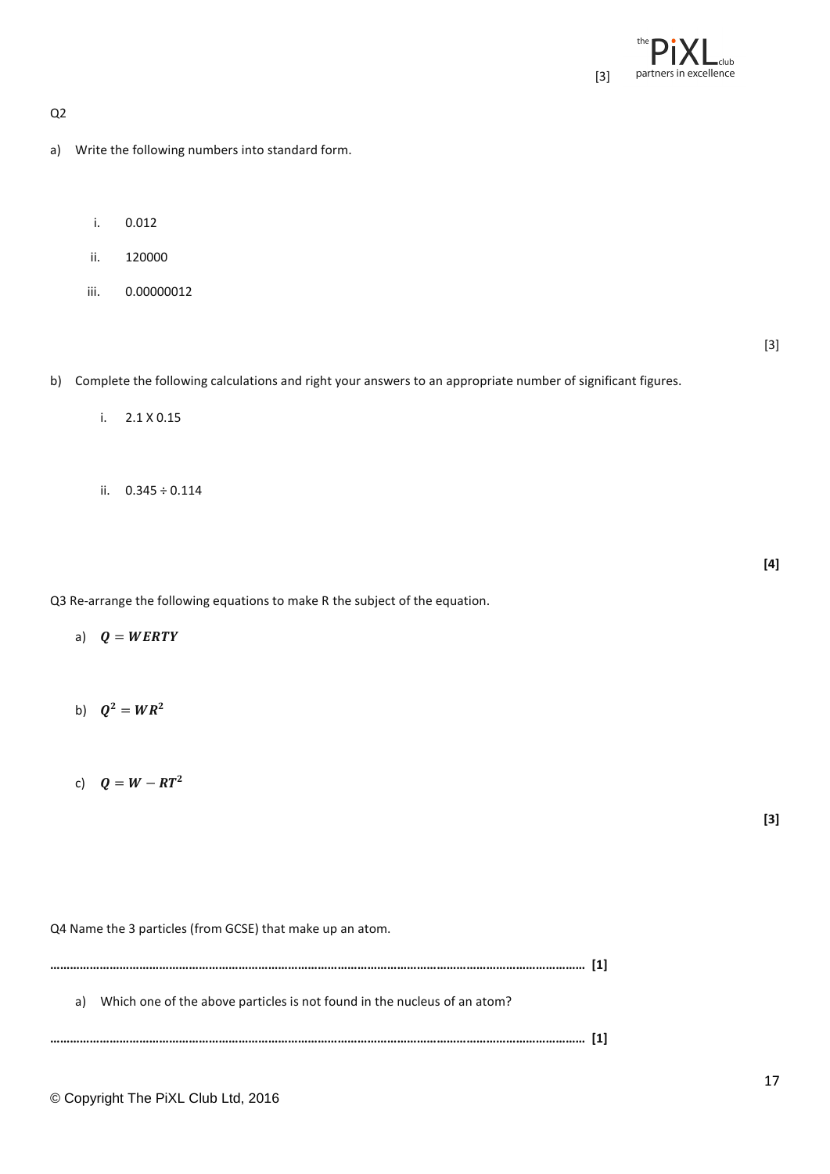![](_page_16_Picture_0.jpeg)

Q2

- a) Write the following numbers into standard form.
	- i. 0.012
	- ii. 120000
	- iii. 0.00000012

[3]

**[4]**

b) Complete the following calculations and right your answers to an appropriate number of significant figures.

- i. 2.1 X 0.15
- ii. 0.345 ÷ 0.114

Q3 Re-arrange the following equations to make R the subject of the equation.

- a)  $Q = WERTY$
- b)  $Q^2 = WR^2$
- c)  $Q = W RT^2$

**[3]**

Q4 Name the 3 particles (from GCSE) that make up an atom.

**……………………………………………………………………………………………………………………………………………… [1]** a) Which one of the above particles is not found in the nucleus of an atom? **……………………………………………………………………………………………………………………………………………… [1]**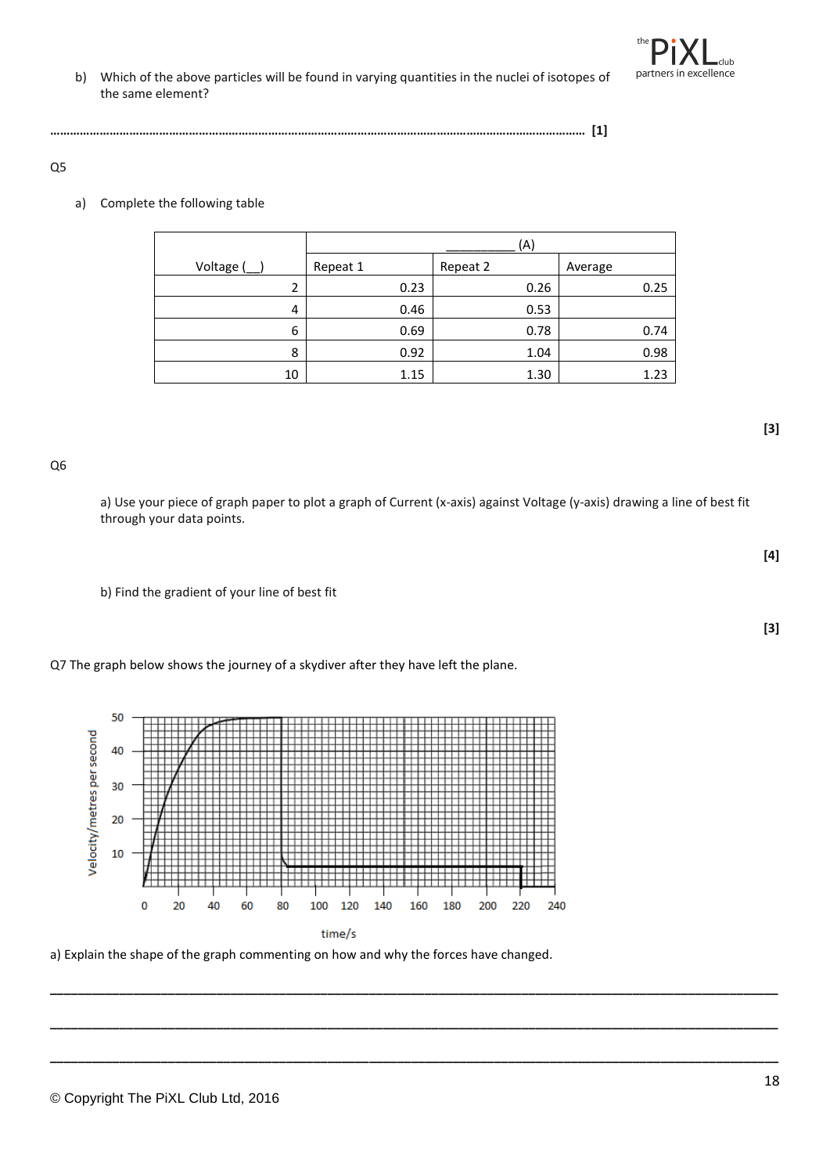#### Q5

#### a) Complete the following table

|         | (A)      |          |         |
|---------|----------|----------|---------|
| Voltage | Repeat 1 | Repeat 2 | Average |
| 2       | 0.23     | 0.26     | 0.25    |
| 4       | 0.46     | 0.53     |         |
| 6       | 0.69     | 0.78     | 0.74    |
| 8       | 0.92     | 1.04     | 0.98    |
| 10      | 1.15     | 1.30     | 1.23    |

**……………………………………………………………………………………………………………………………………………… [1]**

Q6

a) Use your piece of graph paper to plot a graph of Current (x-axis) against Voltage (y-axis) drawing a line of best fit through your data points.

**\_\_\_\_\_\_\_\_\_\_\_\_\_\_\_\_\_\_\_\_\_\_\_\_\_\_\_\_\_\_\_\_\_\_\_\_\_\_\_\_\_\_\_\_\_\_\_\_\_\_\_\_\_\_\_\_\_\_\_\_\_\_\_\_\_\_\_\_\_\_\_\_\_\_\_\_\_\_\_\_\_\_\_\_\_\_\_\_\_\_\_\_\_\_\_\_\_\_\_\_\_\_\_\_\_**

**\_\_\_\_\_\_\_\_\_\_\_\_\_\_\_\_\_\_\_\_\_\_\_\_\_\_\_\_\_\_\_\_\_\_\_\_\_\_\_\_\_\_\_\_\_\_\_\_\_\_\_\_\_\_\_\_\_\_\_\_\_\_\_\_\_\_\_\_\_\_\_\_\_\_\_\_\_\_\_\_\_\_\_\_\_\_\_\_\_\_\_\_\_\_\_\_\_\_\_\_\_\_\_\_\_**

**\_\_\_\_\_\_\_\_\_\_\_\_\_\_\_\_\_\_\_\_\_\_\_\_\_\_\_\_\_\_\_\_\_\_\_\_\_\_\_\_\_\_\_\_\_\_\_\_\_\_\_\_\_\_\_\_\_\_\_\_\_\_\_\_\_\_\_\_\_\_\_\_\_\_\_\_\_\_\_\_\_\_\_\_\_\_\_\_\_\_\_\_\_\_\_\_\_\_\_\_\_\_\_\_\_**

b) Find the gradient of your line of best fit

Q7 The graph below shows the journey of a skydiver after they have left the plane.

![](_page_17_Figure_9.jpeg)

a) Explain the shape of the graph commenting on how and why the forces have changed.

![](_page_17_Picture_12.jpeg)

**[4]**

![](_page_17_Figure_15.jpeg)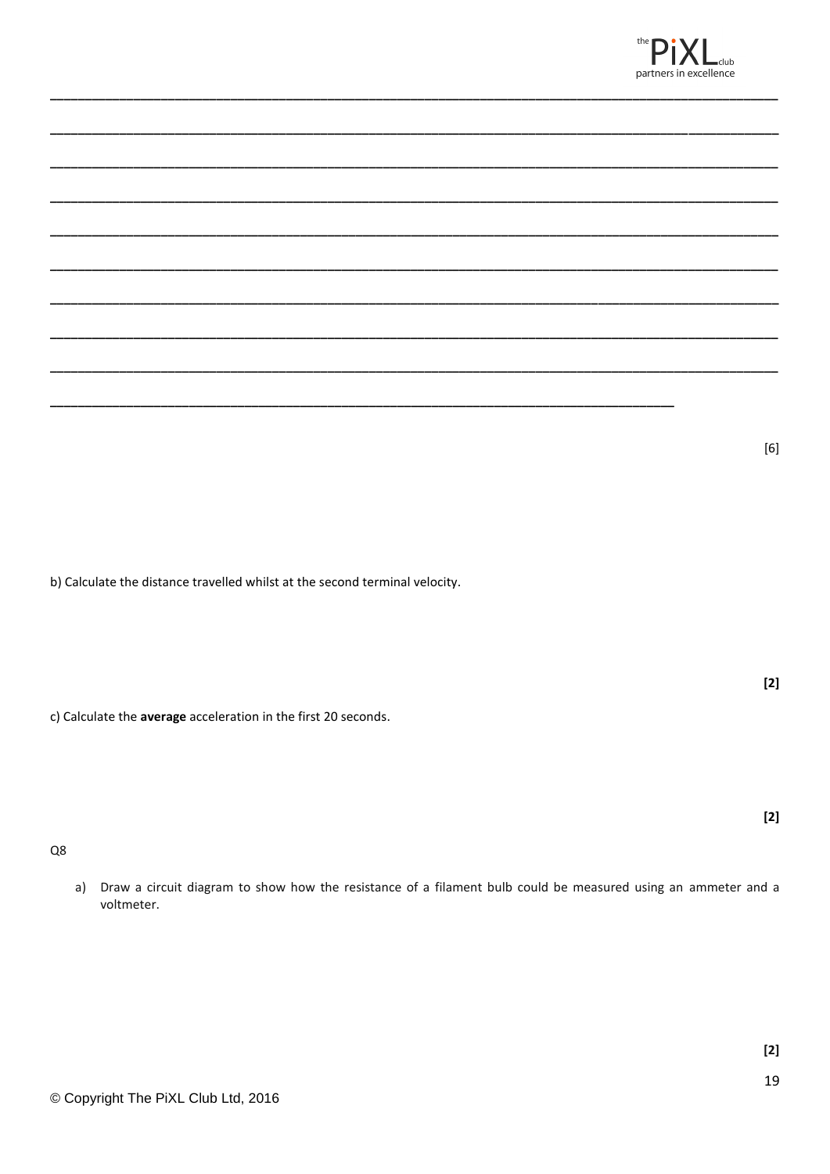![](_page_18_Picture_0.jpeg)

b) Calculate the distance travelled whilst at the second terminal velocity.

c) Calculate the average acceleration in the first 20 seconds.

Q8

a) Draw a circuit diagram to show how the resistance of a filament bulb could be measured using an ammeter and a voltmeter.

 $[6] % \begin{center} \includegraphics[width=\linewidth]{imagesSupplemental/Imetad-Architecture.png} \end{center} % \caption { % \textit{DefNet} of the \textit{DefNet} and \textit{DefNet} and \textit{DefNet} and \textit{DefNet} are used to be used. } \label{fig:DefNet} %$ 

 $[2]$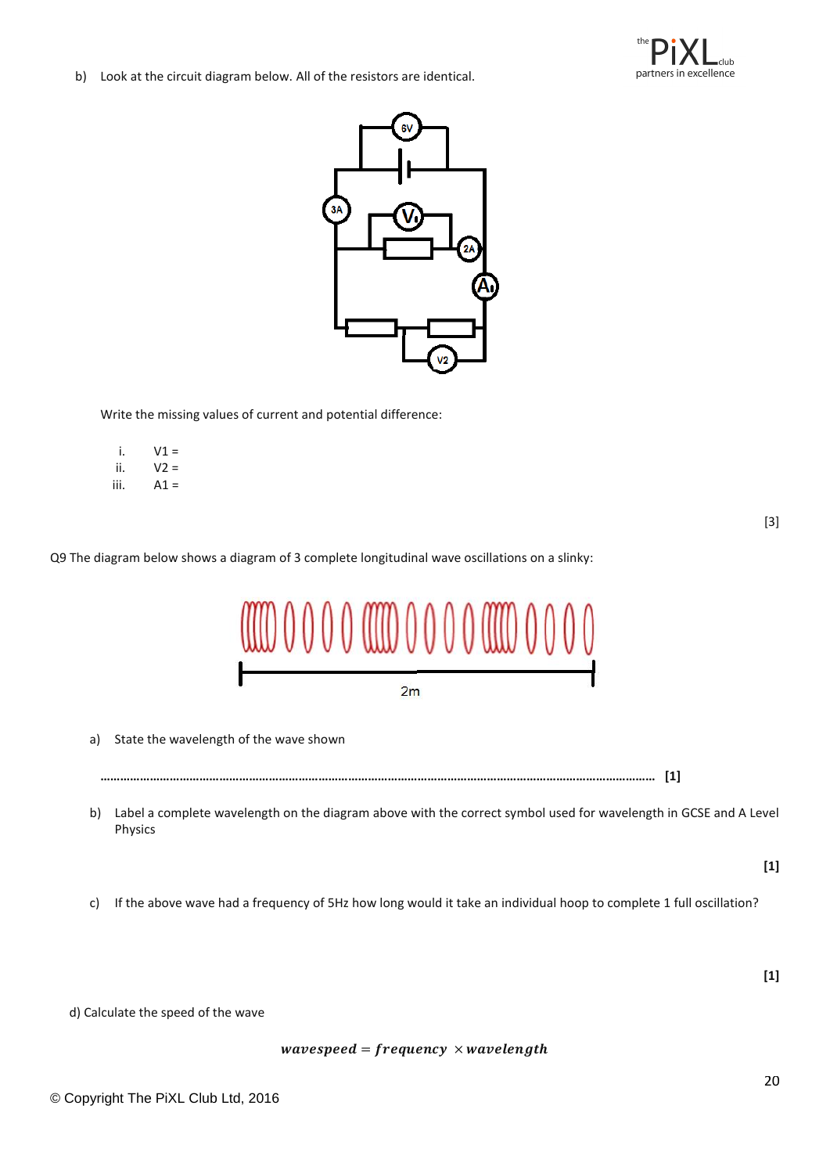![](_page_19_Picture_0.jpeg)

b) Look at the circuit diagram below. All of the resistors are identical.

![](_page_19_Picture_2.jpeg)

Write the missing values of current and potential difference:

 $i.$   $V1 =$ ii.  $V2 =$ iii.  $A1 =$ 

[3]

Q9 The diagram below shows a diagram of 3 complete longitudinal wave oscillations on a slinky:

![](_page_19_Figure_7.jpeg)

a) State the wavelength of the wave shown

**…………………………………………………………………………………………………………………………………………………… [1]**

- b) Label a complete wavelength on the diagram above with the correct symbol used for wavelength in GCSE and A Level Physics
	- **[1]**
- c) If the above wave had a frequency of 5Hz how long would it take an individual hoop to complete 1 full oscillation?

**[1]**

d) Calculate the speed of the wave

 $wave speed = frequency \times wavelength$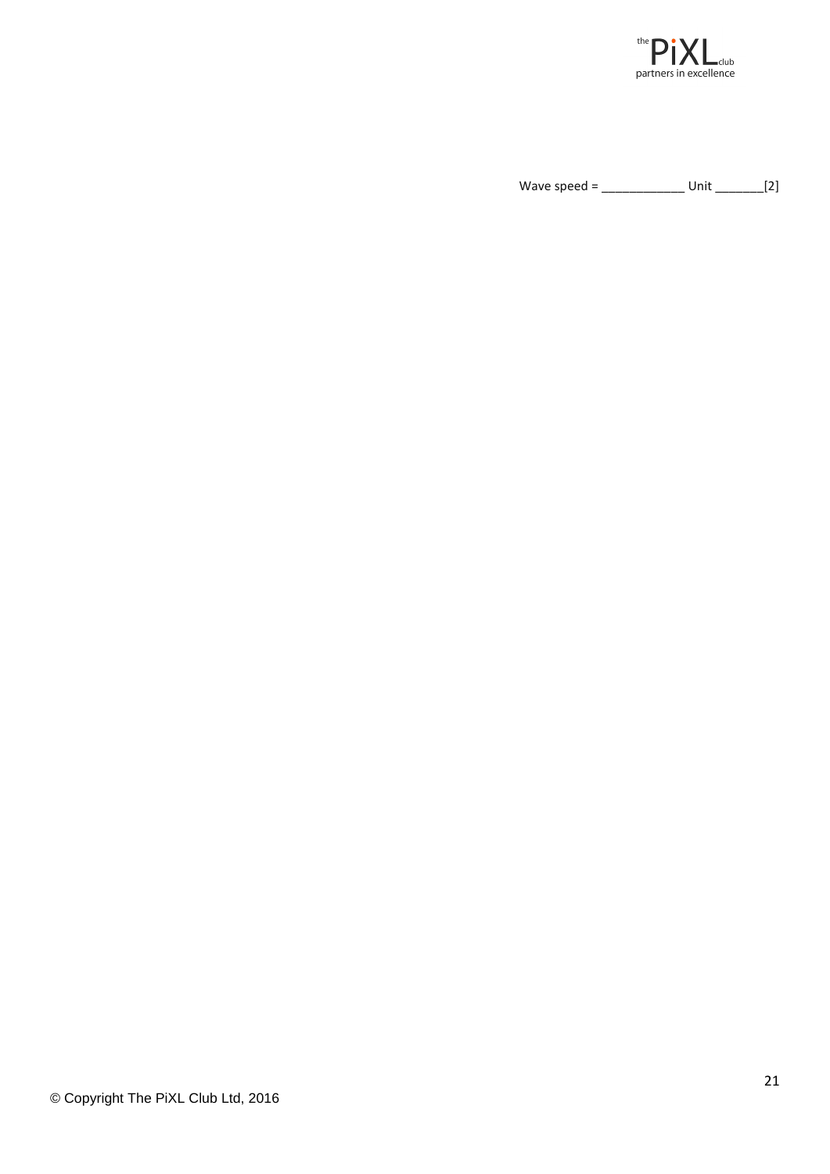![](_page_20_Picture_0.jpeg)

Wave speed = \_\_\_\_\_\_\_\_\_\_\_\_ Unit \_\_\_\_\_\_\_[2]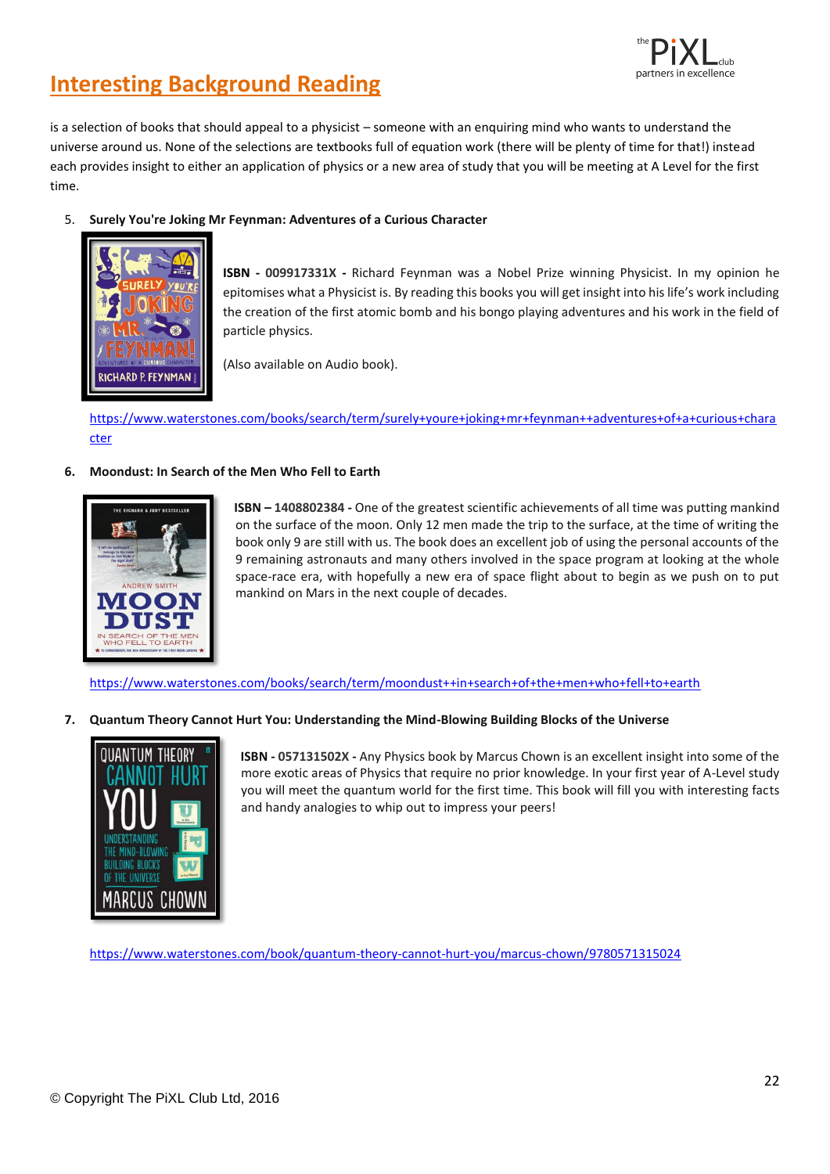![](_page_21_Picture_0.jpeg)

## **Interesting Background Reading**

is a selection of books that should appeal to a physicist – someone with an enquiring mind who wants to understand the universe around us. None of the selections are textbooks full of equation work (there will be plenty of time for that!) instead each provides insight to either an application of physics or a new area of study that you will be meeting at A Level for the first time.

5. **Surely You're Joking Mr Feynman: Adventures of a Curious Character**

![](_page_21_Picture_4.jpeg)

**ISBN - 009917331X -** Richard Feynman was a Nobel Prize winning Physicist. In my opinion he epitomises what a Physicist is. By reading this books you will get insight into his life's work including the creation of the first atomic bomb and his bongo playing adventures and his work in the field of particle physics.

(Also available on Audio book).

[https://www.waterstones.com/books/search/term/surely+youre+joking+mr+feynman++adventures+of+a+curious+chara](https://www.waterstones.com/books/search/term/surely+youre+joking+mr+feynman++adventures+of+a+curious+character) [cter](https://www.waterstones.com/books/search/term/surely+youre+joking+mr+feynman++adventures+of+a+curious+character)

#### **6. Moondust: In Search of the Men Who Fell to Earth**

![](_page_21_Picture_9.jpeg)

**ISBN – 1408802384 -** One of the greatest scientific achievements of all time was putting mankind on the surface of the moon. Only 12 men made the trip to the surface, at the time of writing the book only 9 are still with us. The book does an excellent job of using the personal accounts of the 9 remaining astronauts and many others involved in the space program at looking at the whole space-race era, with hopefully a new era of space flight about to begin as we push on to put mankind on Mars in the next couple of decades.

<https://www.waterstones.com/books/search/term/moondust++in+search+of+the+men+who+fell+to+earth>

**7. Quantum Theory Cannot Hurt You: Understanding the Mind-Blowing Building Blocks of the Universe**

![](_page_21_Picture_13.jpeg)

**ISBN - 057131502X -** Any Physics book by Marcus Chown is an excellent insight into some of the more exotic areas of Physics that require no prior knowledge. In your first year of A-Level study you will meet the quantum world for the first time. This book will fill you with interesting facts and handy analogies to whip out to impress your peers!

<https://www.waterstones.com/book/quantum-theory-cannot-hurt-you/marcus-chown/9780571315024>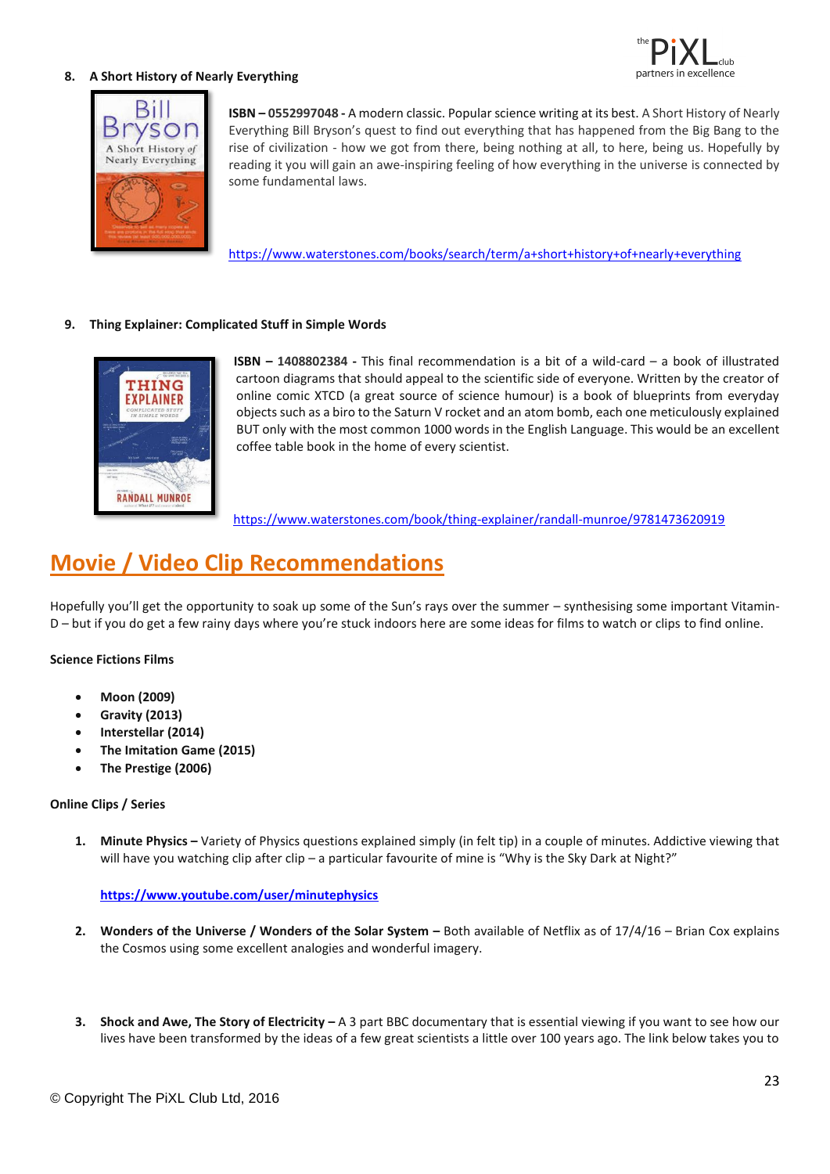![](_page_22_Picture_0.jpeg)

#### **8. A Short History of Nearly Everything**

![](_page_22_Picture_2.jpeg)

**ISBN – 0552997048 -** A modern classic. Popular science writing at its best. A Short History of Nearly Everything Bill Bryson's quest to find out everything that has happened from the Big Bang to the rise of civilization - how we got from there, being nothing at all, to here, being us. Hopefully by reading it you will gain an awe-inspiring feeling of how everything in the universe is connected by some fundamental laws.

<https://www.waterstones.com/books/search/term/a+short+history+of+nearly+everything>

#### **9. Thing Explainer: Complicated Stuff in Simple Words**

![](_page_22_Picture_6.jpeg)

**ISBN – 1408802384 -** This final recommendation is a bit of a wild-card – a book of illustrated cartoon diagrams that should appeal to the scientific side of everyone. Written by the creator of online comic XTCD (a great source of science humour) is a book of blueprints from everyday objects such as a biro to the Saturn V rocket and an atom bomb, each one meticulously explained BUT only with the most common 1000 words in the English Language. This would be an excellent coffee table book in the home of every scientist.

<https://www.waterstones.com/book/thing-explainer/randall-munroe/9781473620919>

## **Movie / Video Clip Recommendations**

Hopefully you'll get the opportunity to soak up some of the Sun's rays over the summer – synthesising some important Vitamin-D – but if you do get a few rainy days where you're stuck indoors here are some ideas for films to watch or clips to find online.

#### **Science Fictions Films**

- **Moon (2009)**
- **Gravity (2013)**
- **Interstellar (2014)**
- **The Imitation Game (2015)**
- **The Prestige (2006)**

#### **Online Clips / Series**

**1. Minute Physics –** Variety of Physics questions explained simply (in felt tip) in a couple of minutes. Addictive viewing that will have you watching clip after clip – a particular favourite of mine is "Why is the Sky Dark at Night?"

#### **<https://www.youtube.com/user/minutephysics>**

- **2.** Wonders of the Universe / Wonders of the Solar System Both available of Netflix as of 17/4/16 Brian Cox explains the Cosmos using some excellent analogies and wonderful imagery.
- **3. Shock and Awe, The Story of Electricity –** A 3 part BBC documentary that is essential viewing if you want to see how our lives have been transformed by the ideas of a few great scientists a little over 100 years ago. The link below takes you to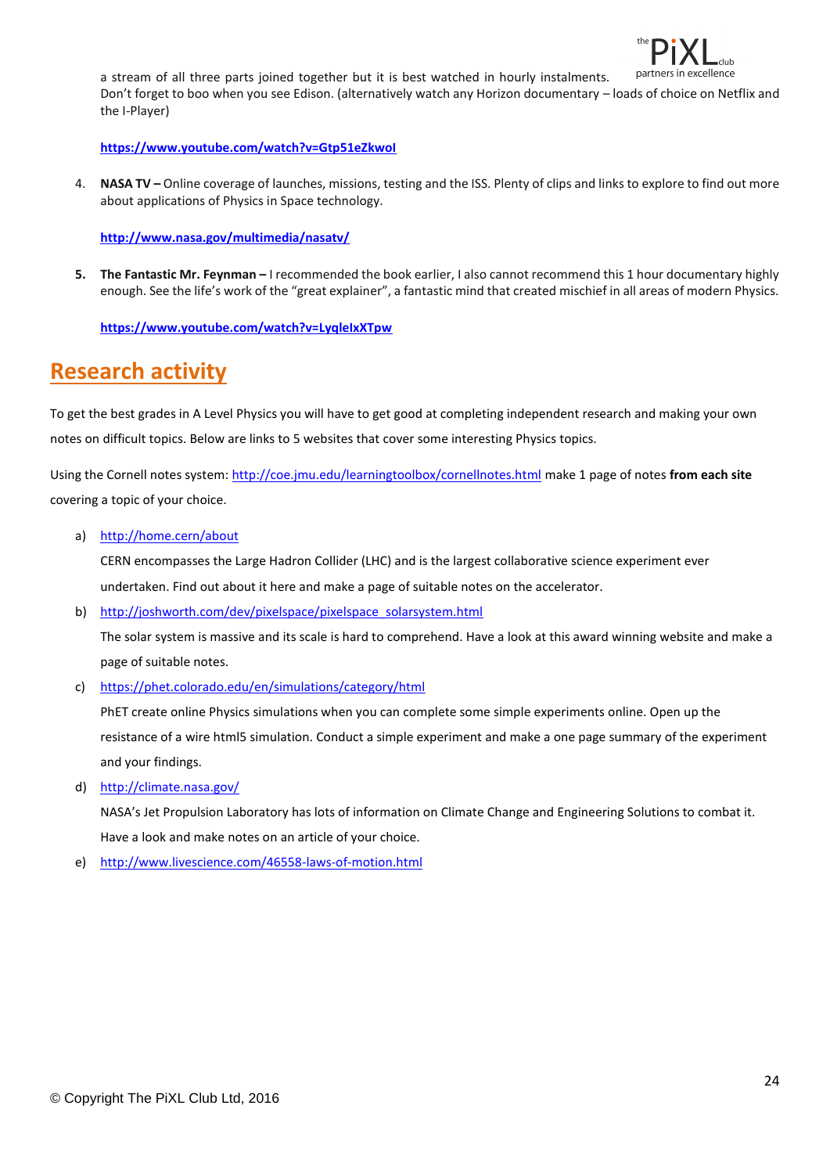![](_page_23_Picture_0.jpeg)

a stream of all three parts joined together but it is best watched in hourly instalments. Don't forget to boo when you see Edison. (alternatively watch any Horizon documentary – loads of choice on Netflix and the I-Player)

**<https://www.youtube.com/watch?v=Gtp51eZkwoI>**

4. **NASA TV –** Online coverage of launches, missions, testing and the ISS. Plenty of clips and links to explore to find out more about applications of Physics in Space technology.

**<http://www.nasa.gov/multimedia/nasatv/>**

**5. The Fantastic Mr. Feynman –** I recommended the book earlier, I also cannot recommend this 1 hour documentary highly enough. See the life's work of the "great explainer", a fantastic mind that created mischief in all areas of modern Physics.

**<https://www.youtube.com/watch?v=LyqleIxXTpw>**

## **Research activity**

To get the best grades in A Level Physics you will have to get good at completing independent research and making your own notes on difficult topics. Below are links to 5 websites that cover some interesting Physics topics.

Using the Cornell notes system[: http://coe.jmu.edu/learningtoolbox/cornellnotes.html](http://coe.jmu.edu/learningtoolbox/cornellnotes.html) make 1 page of notes **from each site** covering a topic of your choice.

a) <http://home.cern/about>

CERN encompasses the Large Hadron Collider (LHC) and is the largest collaborative science experiment ever undertaken. Find out about it here and make a page of suitable notes on the accelerator.

b) [http://joshworth.com/dev/pixelspace/pixelspace\\_solarsystem.html](http://joshworth.com/dev/pixelspace/pixelspace_solarsystem.html)

The solar system is massive and its scale is hard to comprehend. Have a look at this award winning website and make a page of suitable notes.

c) <https://phet.colorado.edu/en/simulations/category/html>

PhET create online Physics simulations when you can complete some simple experiments online. Open up the resistance of a wire html5 simulation. Conduct a simple experiment and make a one page summary of the experiment and your findings.

d) <http://climate.nasa.gov/>

NASA's Jet Propulsion Laboratory has lots of information on Climate Change and Engineering Solutions to combat it. Have a look and make notes on an article of your choice.

e) <http://www.livescience.com/46558-laws-of-motion.html>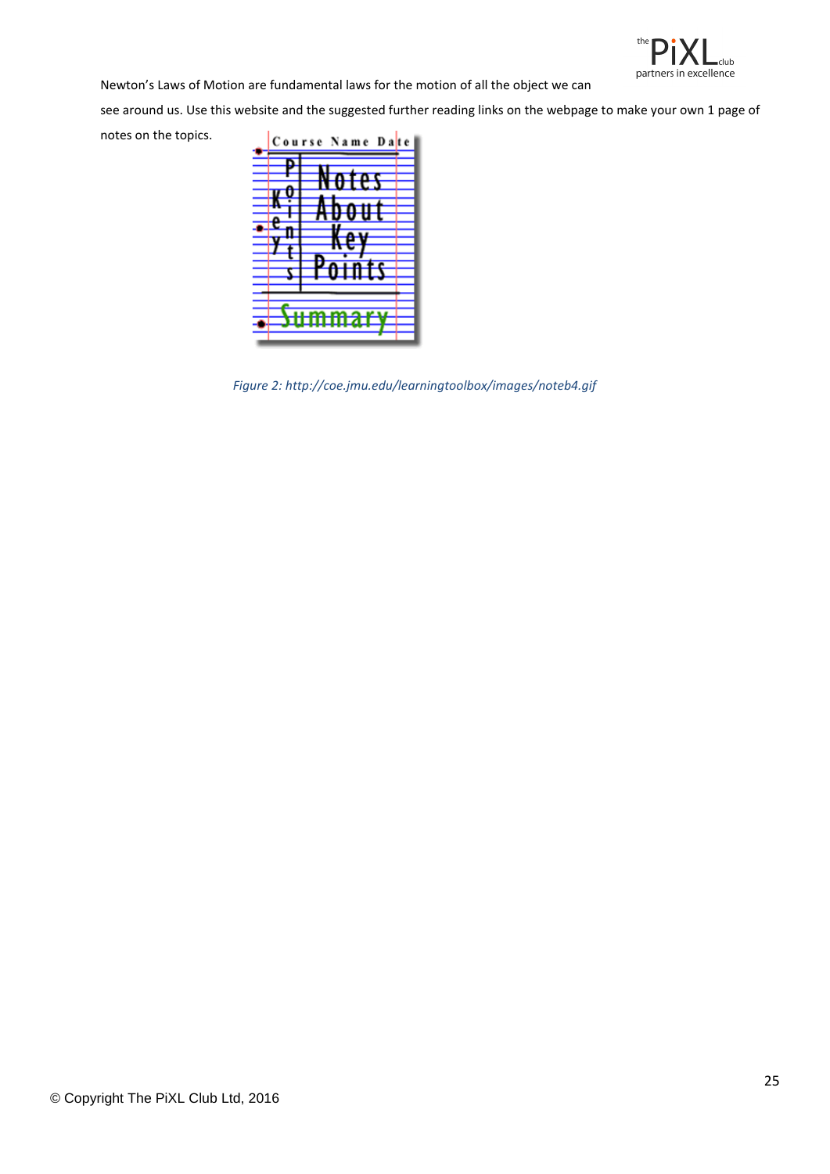![](_page_24_Picture_0.jpeg)

Newton's Laws of Motion are fundamental laws for the motion of all the object we can

see around us. Use this website and the suggested further reading links on the webpage to make your own 1 page of notes on the topics.

![](_page_24_Picture_3.jpeg)

*Figure 2: http://coe.jmu.edu/learningtoolbox/images/noteb4.gif*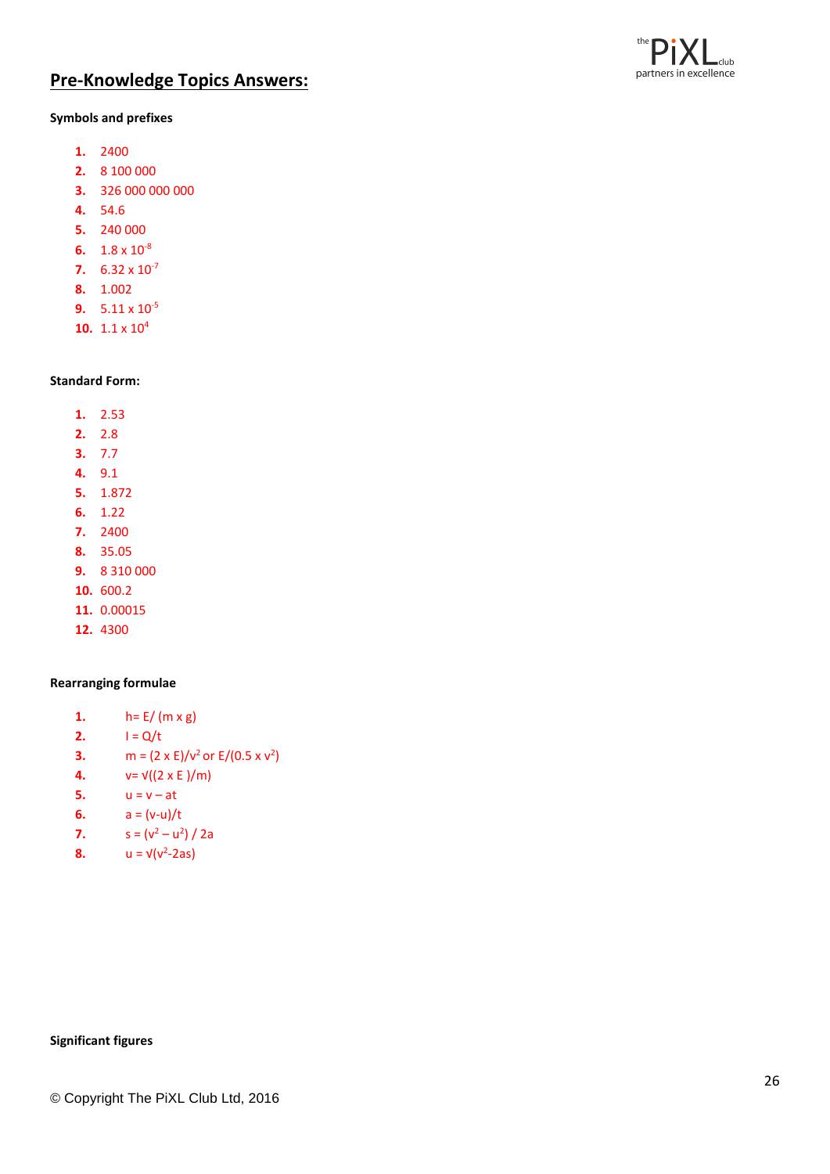![](_page_25_Picture_0.jpeg)

### **Pre -Knowledge Topics Answers:**

#### **Symbols and prefixes**

- **1.** 2400
- **2.** 8 100 000
- **3.** 326 000 000 000
- **4.** 54.6
- **5.** 240 000
- 6.  $1.8 \times 10^{-8}$
- **7.**  $6.32 \times 10^{-7}$
- **8.** 1.002
- **9.**  $5.11 \times 10^{-5}$
- **10.** 1.1 x 10 4

#### **Standard Form:**

- **1.** 2.53
- **2.** 2.8
- **3.** 7.7
- **4.** 9.1
- **5.** 1.872
- **6.** 1.22
- **7.** 2400
- **8.** 35.05
- **9.** 8 310 000
- **10.** 600.2
- **11.** 0.00015
- **12.** 4300

#### **Rearranging formulae**

- **1.**  $h = E / (m \times g)$
- **2.**  $I = Q/t$
- **3.**  $m = (2 \times E)/v^2$  or  $E/(0.5 \times v^2)$
- **4.**  $v = \sqrt{(2 \times E)/m}$
- **5.**  $u = v at$
- **6.**  $a = (v-u)/t$
- **7.**  $s = (v^2 u^2) / 2a$
- **8.**  $u = v(v^2 2as)$

#### **Significant figures**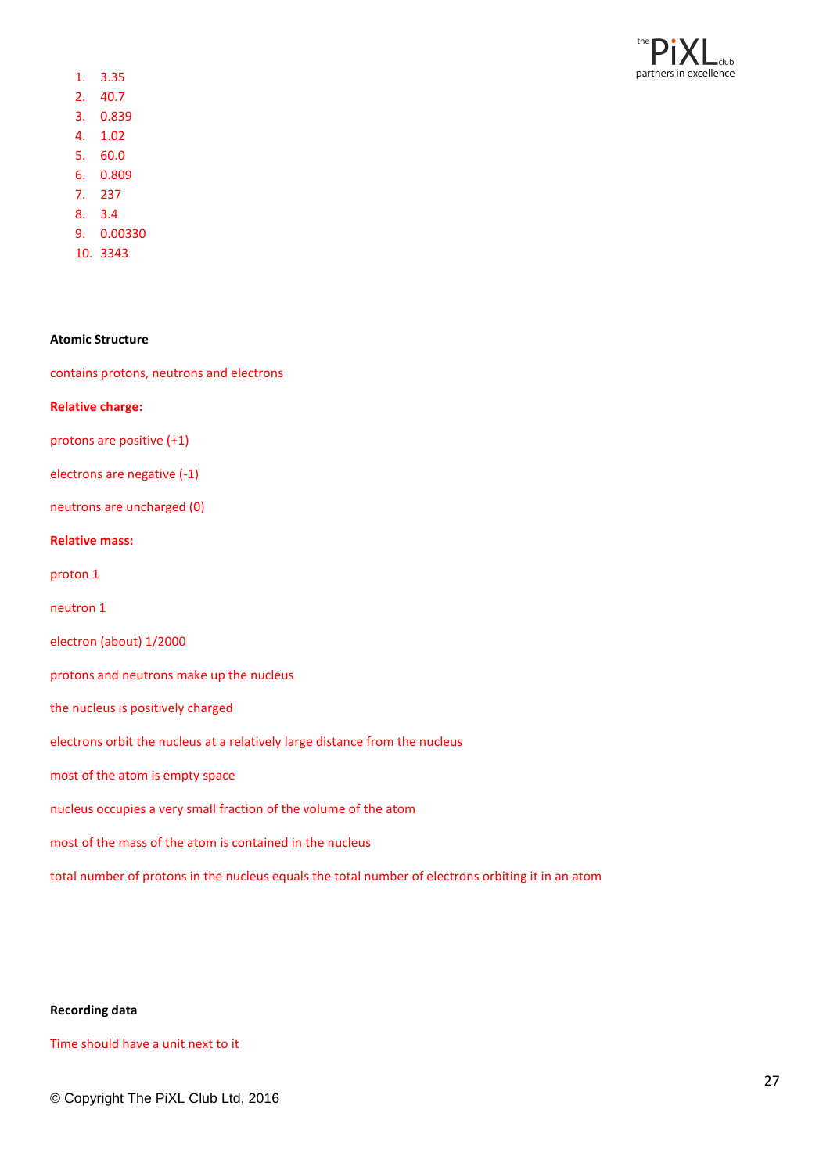![](_page_26_Picture_0.jpeg)

- 1. 3.35
- 2. 40.7
- 3. 0.839
- 4. 1.02
- 5. 60.0
- 6. 0.809
- 7. 237
- 8. 3.4
- 9. 0.00330
- 10. 3343

#### **Atomic Structure**

contains protons, neutrons and electrons

#### **Relative charge:**

protons are positive (+1)

electrons are negative (-1)

neutrons are uncharged (0)

#### **Relative mass:**

proton 1

neutron 1

electron (about) 1/2000

protons and neutrons make up the nucleus

the nucleus is positively charged

electrons orbit the nucleus at a relatively large distance from the nucleus

most of the atom is empty space

nucleus occupies a very small fraction of the volume of the atom

most of the mass of the atom is contained in the nucleus

total number of protons in the nucleus equals the total number of electrons orbiting it in an atom

#### **Recording data**

Time should have a unit next to it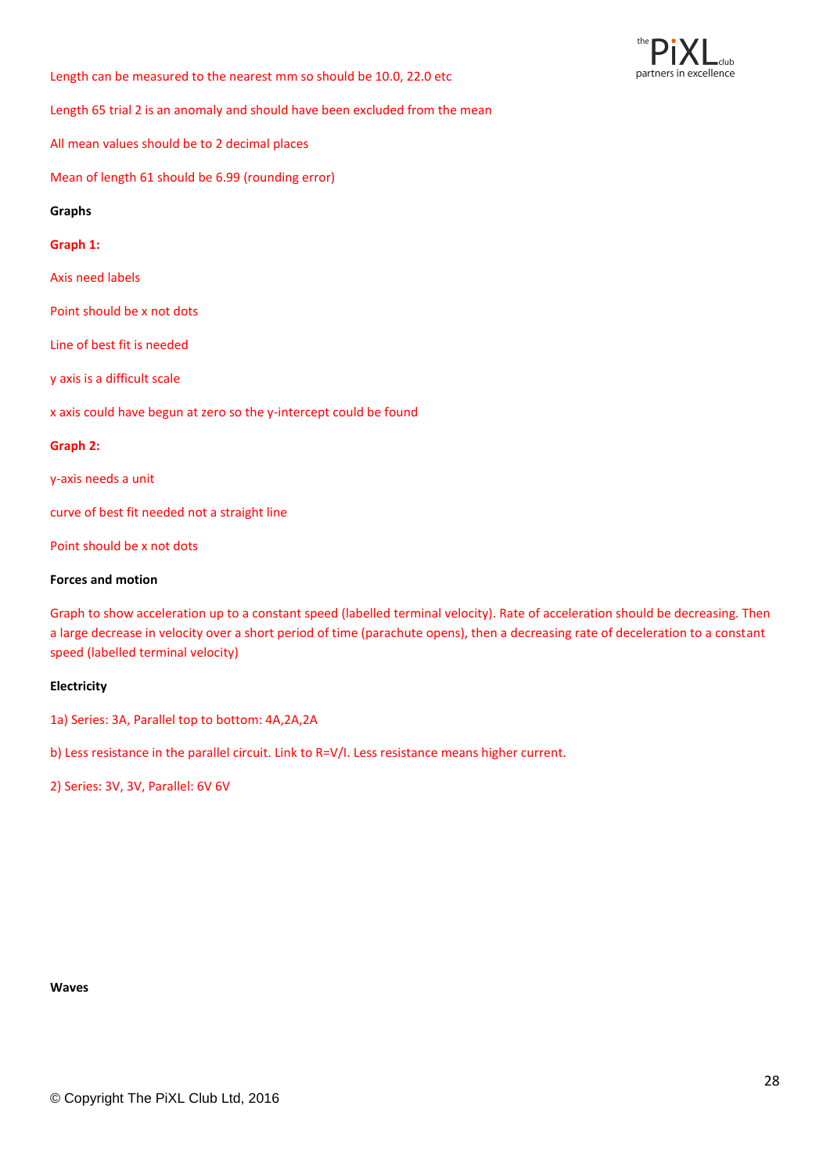club partners in excellence

Length can be measured to the nearest mm so should be 10.0, 22.0 etc

Length 65 trial 2 is an anomaly and should have been excluded from the mean

All mean values should be to 2 decimal places

Mean of length 61 should be 6.99 (rounding error)

#### **Graphs**

#### **Graph 1:**

Axis need labels

Point should be x not dots

Line of best fit is needed

y axis is a difficult scale

x axis could have begun at zero so the y-intercept could be found

#### **Graph 2:**

y-axis needs a unit

curve of best fit needed not a straight line

Point should be x not dots

#### **Forces and motion**

Graph to show acceleration up to a constant speed (labelled terminal velocity). Rate of acceleration should be decreasing. Then a large decrease in velocity over a short period of time (parachute opens), then a decreasing rate of deceleration to a constant speed (labelled terminal velocity)

#### **Electricity**

1a) Series: 3A, Parallel top to bottom: 4A,2A,2A

b) Less resistance in the parallel circuit. Link to R=V/I. Less resistance means higher current.

2) Series: 3V, 3V, Parallel: 6V 6V

#### **Waves**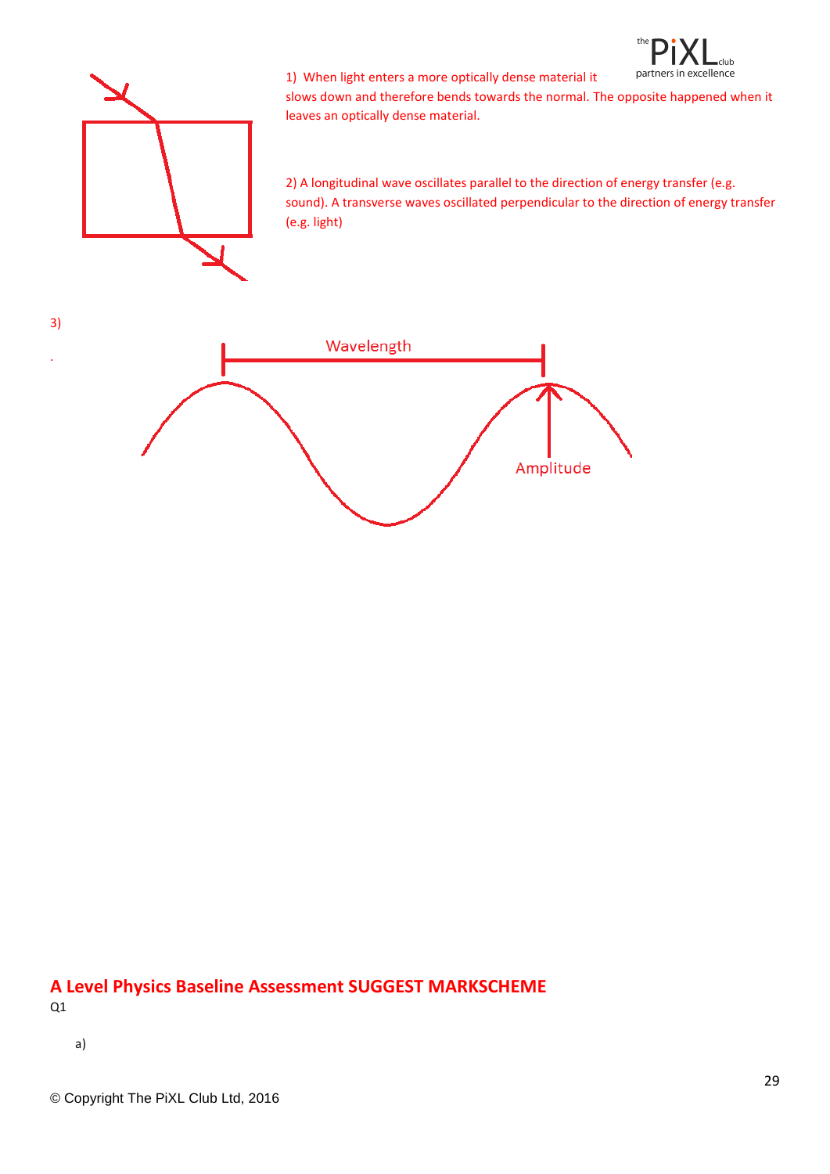![](_page_28_Picture_0.jpeg)

![](_page_28_Picture_1.jpeg)

1) When light enters a more optically dense material it slows down and therefore bends towards the normal. The opposite happened when it leaves an optically dense material.

2) A longitudinal wave oscillates parallel to the direction of energy transfer (e.g. sound). A transverse waves oscillated perpendicular to the direction of energy transfer (e.g. light)

![](_page_28_Figure_4.jpeg)

#### **A Level Physics Baseline Assessment SUGGEST MARKSCHEME** Q1

a)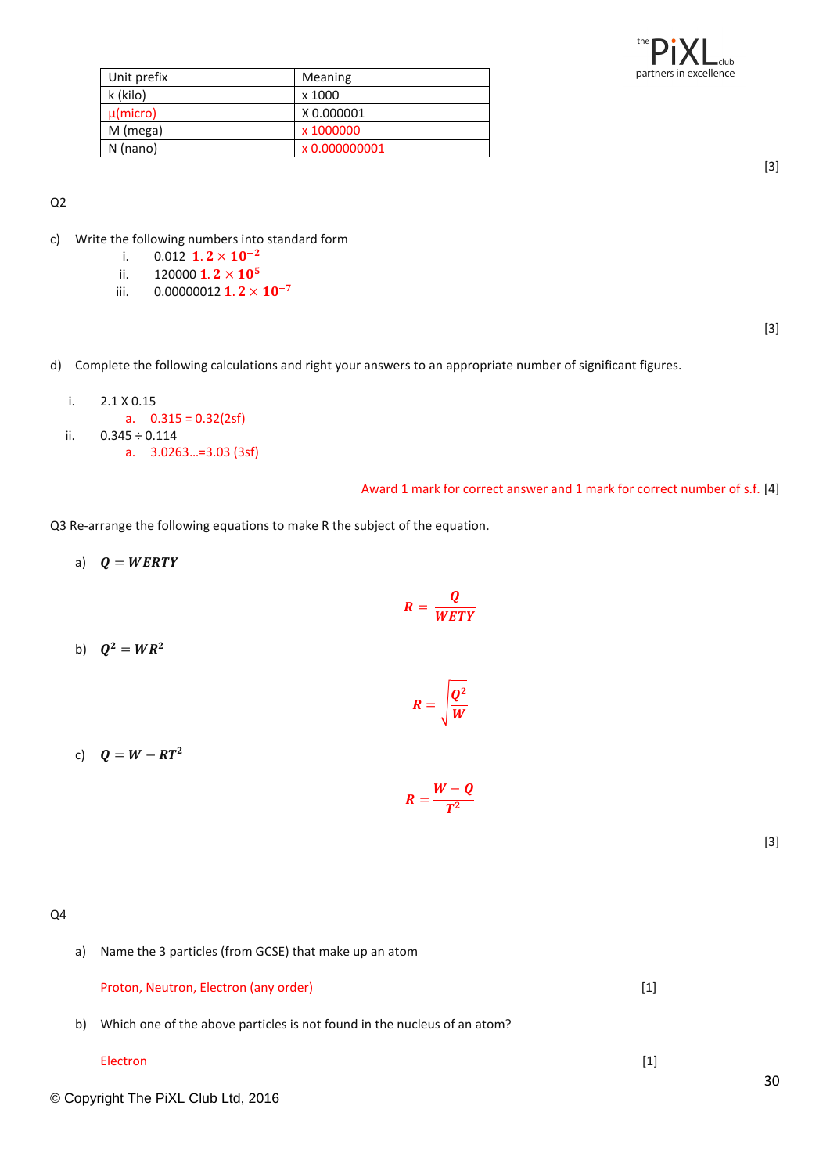![](_page_29_Picture_0.jpeg)

| Unit prefix   | Meaning       |
|---------------|---------------|
| k (kilo)      | x 1000        |
| $\mu$ (micro) | X 0.000001    |
| M (mega)      | x 1000000     |
| $N$ (nano)    | x 0.000000001 |

[3]

#### Q2

- c) Write the following numbers into standard form
	- i.  $0.012 \text{ } 1.2 \times 10^{-2}$
	- ii. 120000  $1.2 \times 10^5$
	- iii.  $0.00000012$  **1.2**  $\times$  **10**<sup>-7</sup>

[3]

- d) Complete the following calculations and right your answers to an appropriate number of significant figures.
	- i. 2.1 X 0.15 a.  $0.315 = 0.32(2sf)$ ii.  $0.345 \div 0.114$ a. 3.0263…=3.03 (3sf)

#### Award 1 mark for correct answer and 1 mark for correct number of s.f. [4]

Q3 Re-arrange the following equations to make R the subject of the equation.

a)  $Q = WERTY$  $R=\frac{Q}{W E}$ WETY b)  $Q^2 = WR^2$  $R = \frac{Q^2}{W}$ W c)  $Q = W - RT^2$ 

$$
R=\frac{W-Q}{T^2}
$$

[3]

Q4

a) Name the 3 particles (from GCSE) that make up an atom

Proton, Neutron, Electron (any order) and the control of the control of the control of the control of the control of the control of the control of the control of the control of the control of the control of the control of

b) Which one of the above particles is not found in the nucleus of an atom?

#### Electron [1]

© Copyright The PiXL Club Ltd, 2016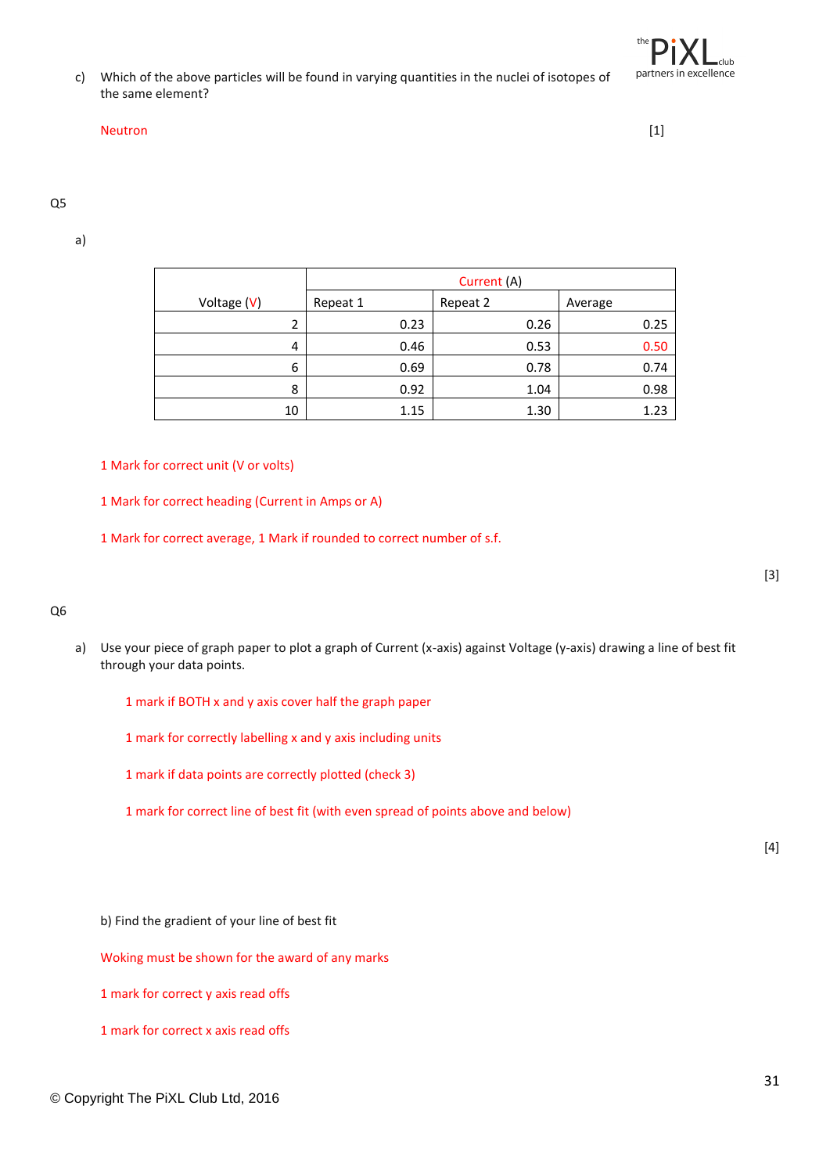c) Which of the above particles will be found in varying quantities in the nuclei of isotopes of the same element?

#### Neutron [1]

#### Q5

a)

|             | Current (A) |          |         |
|-------------|-------------|----------|---------|
| Voltage (V) | Repeat 1    | Repeat 2 | Average |
| 2           | 0.23        | 0.26     | 0.25    |
| 4           | 0.46        | 0.53     | 0.50    |
| 6           | 0.69        | 0.78     | 0.74    |
| 8           | 0.92        | 1.04     | 0.98    |
| 10          | 1.15        | 1.30     | 1.23    |

#### 1 Mark for correct unit (V or volts)

1 Mark for correct heading (Current in Amps or A)

1 Mark for correct average, 1 Mark if rounded to correct number of s.f.

#### Q6

- a) Use your piece of graph paper to plot a graph of Current (x-axis) against Voltage (y-axis) drawing a line of best fit through your data points.
	- 1 mark if BOTH x and y axis cover half the graph paper
	- 1 mark for correctly labelling x and y axis including units
	- 1 mark if data points are correctly plotted (check 3)
	- 1 mark for correct line of best fit (with even spread of points above and below)

 $[4]$ 

b) Find the gradient of your line of best fit

Woking must be shown for the award of any marks

1 mark for correct y axis read offs

[3]

<sup>1</sup> mark for correct x axis read offs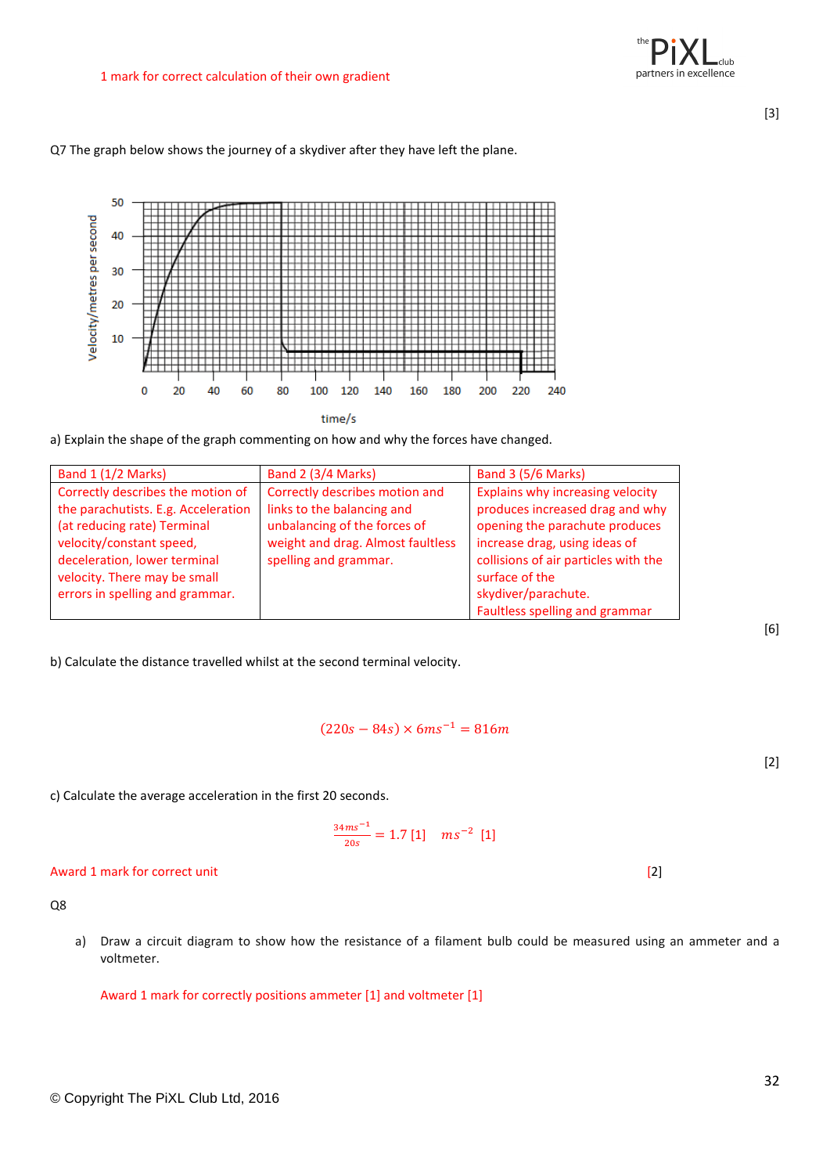Q7 The graph below shows the journey of a skydiver after they have left the plane.

![](_page_31_Figure_4.jpeg)

time/s

a) Explain the shape of the graph commenting on how and why the forces have changed.

| Band 1 (1/2 Marks)                  | Band 2 (3/4 Marks)                | Band 3 (5/6 Marks)                   |
|-------------------------------------|-----------------------------------|--------------------------------------|
| Correctly describes the motion of   | Correctly describes motion and    | Explains why increasing velocity     |
| the parachutists. E.g. Acceleration | links to the balancing and        | produces increased drag and why      |
| (at reducing rate) Terminal         | unbalancing of the forces of      | opening the parachute produces       |
| velocity/constant speed,            | weight and drag. Almost faultless | increase drag, using ideas of        |
| deceleration, lower terminal        | spelling and grammar.             | collisions of air particles with the |
| velocity. There may be small        |                                   | surface of the                       |
| errors in spelling and grammar.     |                                   | skydiver/parachute.                  |
|                                     |                                   | Faultless spelling and grammar       |

b) Calculate the distance travelled whilst at the second terminal velocity.

#### $(220s - 84s) \times 6ms^{-1} = 816m$

c) Calculate the average acceleration in the first 20 seconds.

$$
\frac{34ms^{-1}}{20s} = 1.7 [1] \quad ms^{-2} [1]
$$

#### Award 1 mark for correct unit [2]

Q8

a) Draw a circuit diagram to show how the resistance of a filament bulb could be measured using an ammeter and a voltmeter.

Award 1 mark for correctly positions ammeter [1] and voltmeter [1]

[3]

[6]

[2]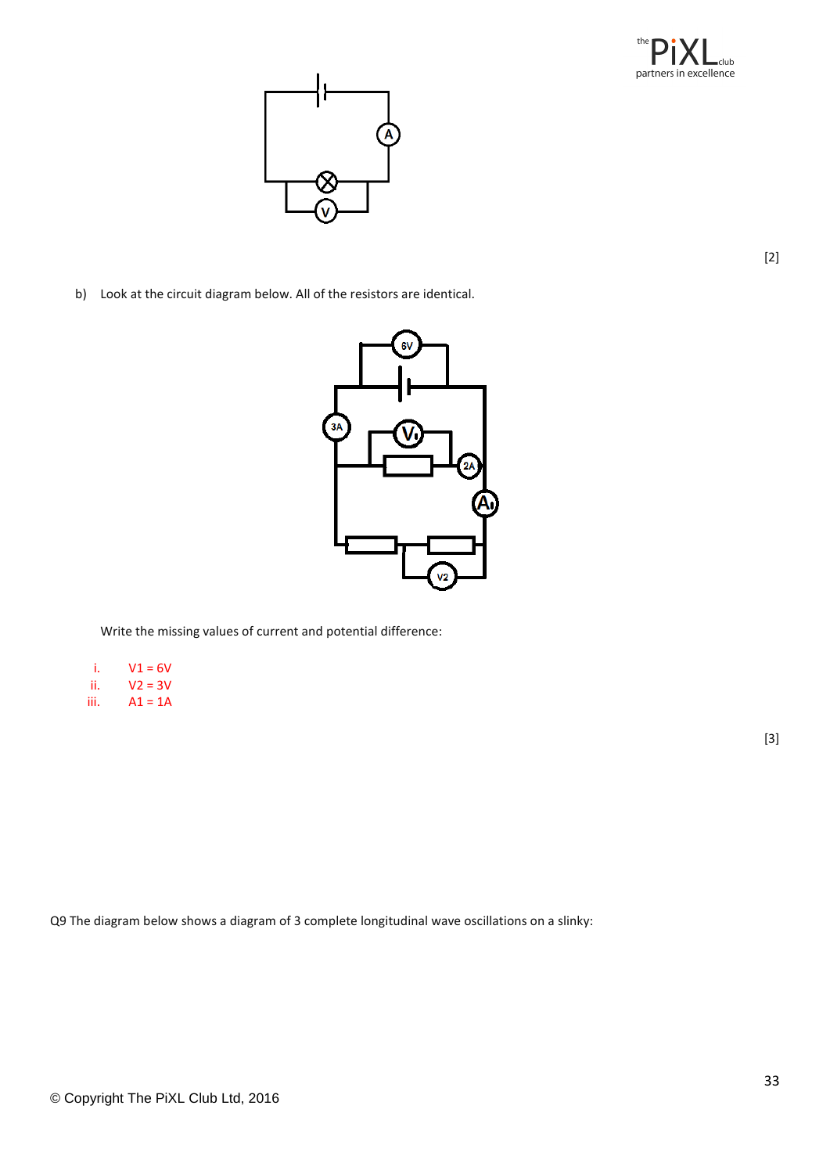![](_page_32_Picture_0.jpeg)

![](_page_32_Picture_1.jpeg)

b) Look at the circuit diagram below. All of the resistors are identical.

![](_page_32_Figure_3.jpeg)

Write the missing values of current and potential difference:

- i.  $V1 = 6V$
- ii.  $V2 = 3V$ <br>iii.  $A1 = 1A$  $A1 = 1A$
- 

[3]

[2]

Q9 The diagram below shows a diagram of 3 complete longitudinal wave oscillations on a slinky: